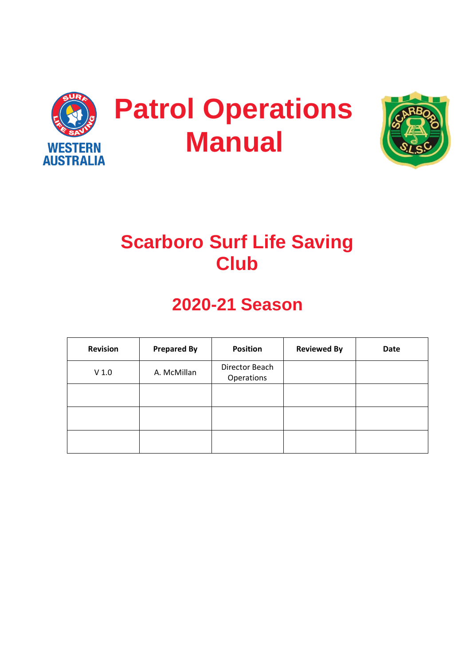



# **Scarboro Surf Life Saving Club**

# **2020-21 Season**

| <b>Revision</b>  | <b>Prepared By</b> | <b>Position</b>              | <b>Reviewed By</b> | <b>Date</b> |
|------------------|--------------------|------------------------------|--------------------|-------------|
| V <sub>1.0</sub> | A. McMillan        | Director Beach<br>Operations |                    |             |
|                  |                    |                              |                    |             |
|                  |                    |                              |                    |             |
|                  |                    |                              |                    |             |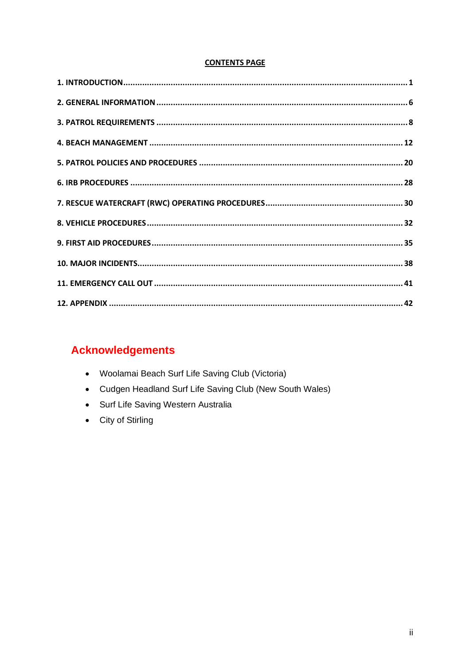#### **CONTENTS PAGE**

## **Acknowledgements**

- Woolamai Beach Surf Life Saving Club (Victoria)
- Cudgen Headland Surf Life Saving Club (New South Wales)
- Surf Life Saving Western Australia
- City of Stirling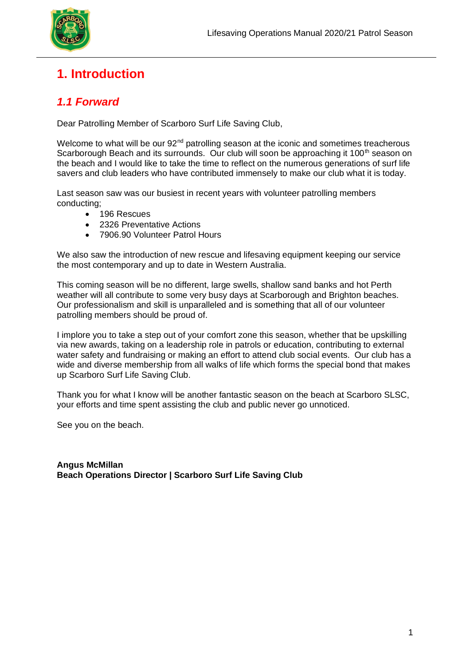

## **1. Introduction**

## *1.1 Forward*

Dear Patrolling Member of Scarboro Surf Life Saving Club,

Welcome to what will be our 92<sup>nd</sup> patrolling season at the iconic and sometimes treacherous Scarborough Beach and its surrounds. Our club will soon be approaching it 100<sup>th</sup> season on the beach and I would like to take the time to reflect on the numerous generations of surf life savers and club leaders who have contributed immensely to make our club what it is today.

Last season saw was our busiest in recent years with volunteer patrolling members conducting;

- 196 Rescues
- 2326 Preventative Actions
- 7906.90 Volunteer Patrol Hours

We also saw the introduction of new rescue and lifesaving equipment keeping our service the most contemporary and up to date in Western Australia.

This coming season will be no different, large swells, shallow sand banks and hot Perth weather will all contribute to some very busy days at Scarborough and Brighton beaches. Our professionalism and skill is unparalleled and is something that all of our volunteer patrolling members should be proud of.

I implore you to take a step out of your comfort zone this season, whether that be upskilling via new awards, taking on a leadership role in patrols or education, contributing to external water safety and fundraising or making an effort to attend club social events. Our club has a wide and diverse membership from all walks of life which forms the special bond that makes up Scarboro Surf Life Saving Club.

Thank you for what I know will be another fantastic season on the beach at Scarboro SLSC, your efforts and time spent assisting the club and public never go unnoticed.

See you on the beach.

**Angus McMillan Beach Operations Director | Scarboro Surf Life Saving Club**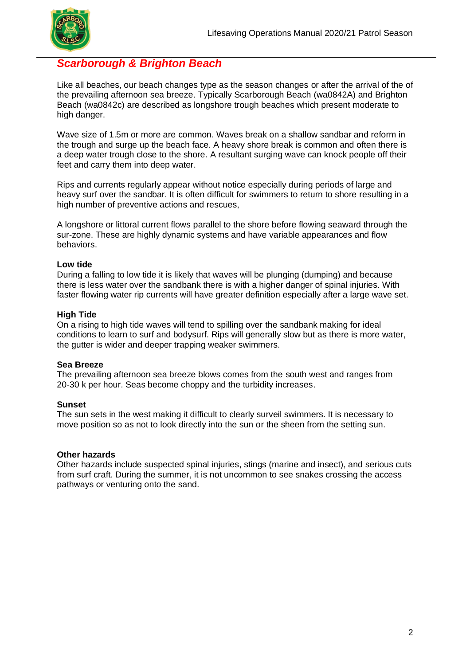### *Scarborough & Brighton Beach*

Like all beaches, our beach changes type as the season changes or after the arrival of the of the prevailing afternoon sea breeze. Typically Scarborough Beach (wa0842A) and Brighton Beach (wa0842c) are described as longshore trough beaches which present moderate to high danger.

Wave size of 1.5m or more are common. Waves break on a shallow sandbar and reform in the trough and surge up the beach face. A heavy shore break is common and often there is a deep water trough close to the shore. A resultant surging wave can knock people off their feet and carry them into deep water.

Rips and currents regularly appear without notice especially during periods of large and heavy surf over the sandbar. It is often difficult for swimmers to return to shore resulting in a high number of preventive actions and rescues,

A longshore or littoral current flows parallel to the shore before flowing seaward through the sur-zone. These are highly dynamic systems and have variable appearances and flow behaviors.

#### **Low tide**

During a falling to low tide it is likely that waves will be plunging (dumping) and because there is less water over the sandbank there is with a higher danger of spinal injuries. With faster flowing water rip currents will have greater definition especially after a large wave set.

#### **High Tide**

On a rising to high tide waves will tend to spilling over the sandbank making for ideal conditions to learn to surf and bodysurf. Rips will generally slow but as there is more water, the gutter is wider and deeper trapping weaker swimmers.

#### **Sea Breeze**

The prevailing afternoon sea breeze blows comes from the south west and ranges from 20-30 k per hour. Seas become choppy and the turbidity increases.

#### **Sunset**

The sun sets in the west making it difficult to clearly surveil swimmers. It is necessary to move position so as not to look directly into the sun or the sheen from the setting sun.

#### **Other hazards**

Other hazards include suspected spinal injuries, stings (marine and insect), and serious cuts from surf craft. During the summer, it is not uncommon to see snakes crossing the access pathways or venturing onto the sand.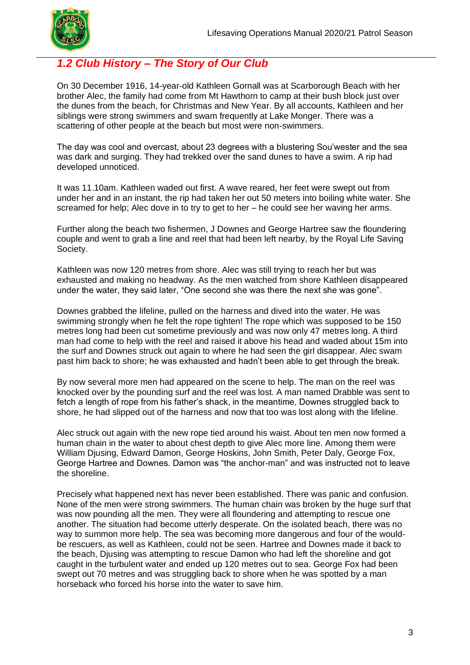

## *1.2 Club History – The Story of Our Club*

On 30 December 1916, 14-year-old Kathleen Gornall was at Scarborough Beach with her brother Alec, the family had come from Mt Hawthorn to camp at their bush block just over the dunes from the beach, for Christmas and New Year. By all accounts, Kathleen and her siblings were strong swimmers and swam frequently at Lake Monger. There was a scattering of other people at the beach but most were non-swimmers.

The day was cool and overcast, about 23 degrees with a blustering Sou'wester and the sea was dark and surging. They had trekked over the sand dunes to have a swim. A rip had developed unnoticed.

It was 11.10am. Kathleen waded out first. A wave reared, her feet were swept out from under her and in an instant, the rip had taken her out 50 meters into boiling white water. She screamed for help; Alec dove in to try to get to her – he could see her waving her arms.

Further along the beach two fishermen, J Downes and George Hartree saw the floundering couple and went to grab a line and reel that had been left nearby, by the Royal Life Saving Society.

Kathleen was now 120 metres from shore. Alec was still trying to reach her but was exhausted and making no headway. As the men watched from shore Kathleen disappeared under the water, they said later, "One second she was there the next she was gone".

Downes grabbed the lifeline, pulled on the harness and dived into the water. He was swimming strongly when he felt the rope tighten! The rope which was supposed to be 150 metres long had been cut sometime previously and was now only 47 metres long. A third man had come to help with the reel and raised it above his head and waded about 15m into the surf and Downes struck out again to where he had seen the girl disappear. Alec swam past him back to shore; he was exhausted and hadn't been able to get through the break.

By now several more men had appeared on the scene to help. The man on the reel was knocked over by the pounding surf and the reel was lost. A man named Drabble was sent to fetch a length of rope from his father's shack, in the meantime, Downes struggled back to shore, he had slipped out of the harness and now that too was lost along with the lifeline.

Alec struck out again with the new rope tied around his waist. About ten men now formed a human chain in the water to about chest depth to give Alec more line. Among them were William Djusing, Edward Damon, George Hoskins, John Smith, Peter Daly, George Fox, George Hartree and Downes. Damon was "the anchor-man" and was instructed not to leave the shoreline.

Precisely what happened next has never been established. There was panic and confusion. None of the men were strong swimmers. The human chain was broken by the huge surf that was now pounding all the men. They were all floundering and attempting to rescue one another. The situation had become utterly desperate. On the isolated beach, there was no way to summon more help. The sea was becoming more dangerous and four of the wouldbe rescuers, as well as Kathleen, could not be seen. Hartree and Downes made it back to the beach, Djusing was attempting to rescue Damon who had left the shoreline and got caught in the turbulent water and ended up 120 metres out to sea. George Fox had been swept out 70 metres and was struggling back to shore when he was spotted by a man horseback who forced his horse into the water to save him.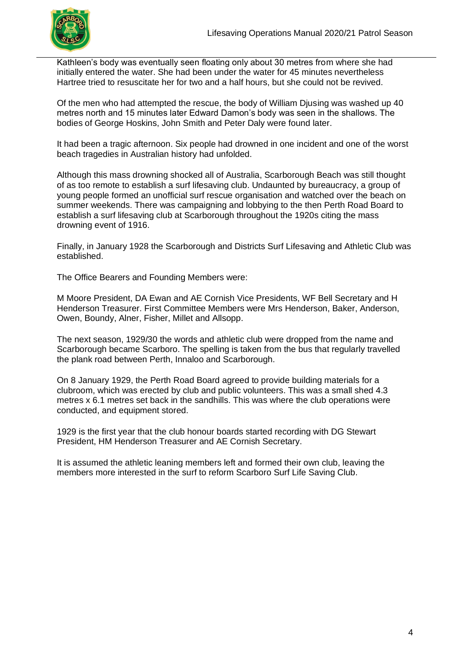

Kathleen's body was eventually seen floating only about 30 metres from where she had initially entered the water. She had been under the water for 45 minutes nevertheless Hartree tried to resuscitate her for two and a half hours, but she could not be revived.

Of the men who had attempted the rescue, the body of William Djusing was washed up 40 metres north and 15 minutes later Edward Damon's body was seen in the shallows. The bodies of George Hoskins, John Smith and Peter Daly were found later.

It had been a tragic afternoon. Six people had drowned in one incident and one of the worst beach tragedies in Australian history had unfolded.

Although this mass drowning shocked all of Australia, Scarborough Beach was still thought of as too remote to establish a surf lifesaving club. Undaunted by bureaucracy, a group of young people formed an unofficial surf rescue organisation and watched over the beach on summer weekends. There was campaigning and lobbying to the then Perth Road Board to establish a surf lifesaving club at Scarborough throughout the 1920s citing the mass drowning event of 1916.

Finally, in January 1928 the Scarborough and Districts Surf Lifesaving and Athletic Club was established.

The Office Bearers and Founding Members were:

M Moore President, DA Ewan and AE Cornish Vice Presidents, WF Bell Secretary and H Henderson Treasurer. First Committee Members were Mrs Henderson, Baker, Anderson, Owen, Boundy, Alner, Fisher, Millet and Allsopp.

The next season, 1929/30 the words and athletic club were dropped from the name and Scarborough became Scarboro. The spelling is taken from the bus that regularly travelled the plank road between Perth, Innaloo and Scarborough.

On 8 January 1929, the Perth Road Board agreed to provide building materials for a clubroom, which was erected by club and public volunteers. This was a small shed 4.3 metres x 6.1 metres set back in the sandhills. This was where the club operations were conducted, and equipment stored.

1929 is the first year that the club honour boards started recording with DG Stewart President, HM Henderson Treasurer and AE Cornish Secretary.

It is assumed the athletic leaning members left and formed their own club, leaving the members more interested in the surf to reform Scarboro Surf Life Saving Club.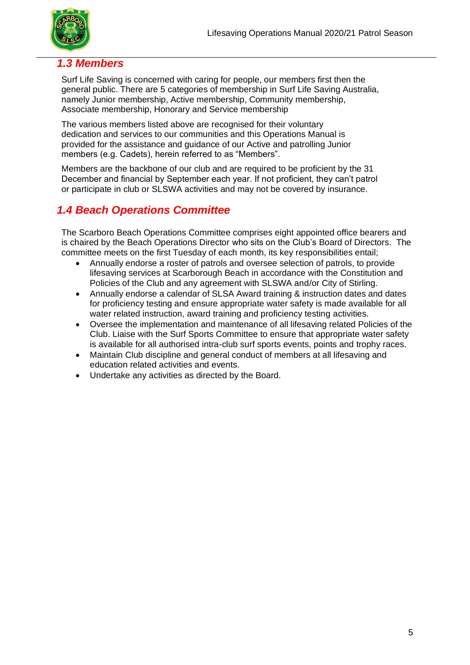

### *1.3 Members*

Surf Life Saving is concerned with caring for people, our members first then the general public. There are 5 categories of membership in Surf Life Saving Australia, namely Junior membership, Active membership, Community membership, Associate membership, Honorary and Service membership

The various members listed above are recognised for their voluntary dedication and services to our communities and this Operations Manual is provided for the assistance and guidance of our Active and patrolling Junior members (e.g. Cadets), herein referred to as "Members".

Members are the backbone of our club and are required to be proficient by the 31 December and financial by September each year. If not proficient, they can't patrol or participate in club or SLSWA activities and may not be covered by insurance.

## *1.4 Beach Operations Committee*

The Scarboro Beach Operations Committee comprises eight appointed office bearers and is chaired by the Beach Operations Director who sits on the Club's Board of Directors. The committee meets on the first Tuesday of each month, its key responsibilities entail;

- Annually endorse a roster of patrols and oversee selection of patrols, to provide lifesaving services at Scarborough Beach in accordance with the Constitution and Policies of the Club and any agreement with SLSWA and/or City of Stirling.
- Annually endorse a calendar of SLSA Award training & instruction dates and dates for proficiency testing and ensure appropriate water safety is made available for all water related instruction, award training and proficiency testing activities.
- Oversee the implementation and maintenance of all lifesaving related Policies of the Club. Liaise with the Surf Sports Committee to ensure that appropriate water safety is available for all authorised intra-club surf sports events, points and trophy races.
- Maintain Club discipline and general conduct of members at all lifesaving and education related activities and events.
- Undertake any activities as directed by the Board.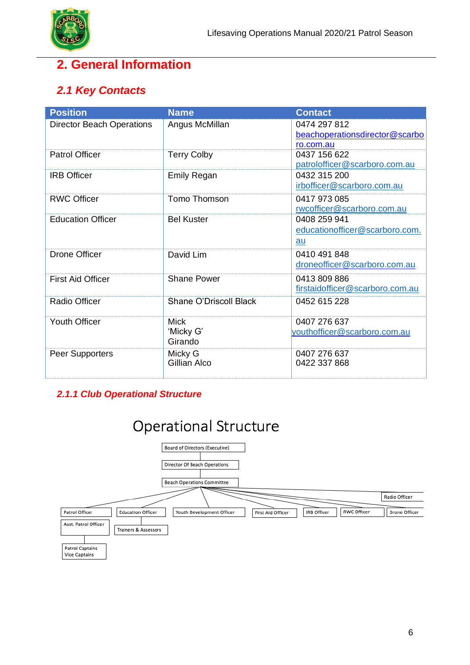

## **2. General Information**

## *2.1 Key Contacts*

| <b>Director Beach Operations</b><br>Angus McMillan<br>0474 297 812<br>beachoperationsdirector@scarbo<br>ro.com.au<br><b>Patrol Officer</b><br><b>Terry Colby</b><br>0437 156 622<br>patrolofficer@scarboro.com.au<br><b>IRB Officer</b><br><b>Emily Regan</b><br>0432 315 200<br>irbofficer@scarboro.com.au<br><b>RWC Officer</b><br>Tomo Thomson<br>0417 973 085<br>rwcofficer@scarboro.com.au<br><b>Bel Kuster</b><br><b>Education Officer</b><br>0408 259 941<br>educationofficer@scarboro.com.<br>au<br><b>Drone Officer</b><br>David Lim<br>0410 491 848<br>droneofficer@scarboro.com.au<br><b>Shane Power</b><br><b>First Aid Officer</b><br>0413 809 886<br>firstaidofficer@scarboro.com.au<br>Shane O'Driscoll Black<br>Radio Officer<br>0452 615 228 | <b>Position</b> | <b>Name</b> | <b>Contact</b> |
|---------------------------------------------------------------------------------------------------------------------------------------------------------------------------------------------------------------------------------------------------------------------------------------------------------------------------------------------------------------------------------------------------------------------------------------------------------------------------------------------------------------------------------------------------------------------------------------------------------------------------------------------------------------------------------------------------------------------------------------------------------------|-----------------|-------------|----------------|
|                                                                                                                                                                                                                                                                                                                                                                                                                                                                                                                                                                                                                                                                                                                                                               |                 |             |                |
|                                                                                                                                                                                                                                                                                                                                                                                                                                                                                                                                                                                                                                                                                                                                                               |                 |             |                |
|                                                                                                                                                                                                                                                                                                                                                                                                                                                                                                                                                                                                                                                                                                                                                               |                 |             |                |
|                                                                                                                                                                                                                                                                                                                                                                                                                                                                                                                                                                                                                                                                                                                                                               |                 |             |                |
|                                                                                                                                                                                                                                                                                                                                                                                                                                                                                                                                                                                                                                                                                                                                                               |                 |             |                |
|                                                                                                                                                                                                                                                                                                                                                                                                                                                                                                                                                                                                                                                                                                                                                               |                 |             |                |
|                                                                                                                                                                                                                                                                                                                                                                                                                                                                                                                                                                                                                                                                                                                                                               |                 |             |                |
|                                                                                                                                                                                                                                                                                                                                                                                                                                                                                                                                                                                                                                                                                                                                                               |                 |             |                |
|                                                                                                                                                                                                                                                                                                                                                                                                                                                                                                                                                                                                                                                                                                                                                               |                 |             |                |
|                                                                                                                                                                                                                                                                                                                                                                                                                                                                                                                                                                                                                                                                                                                                                               |                 |             |                |
|                                                                                                                                                                                                                                                                                                                                                                                                                                                                                                                                                                                                                                                                                                                                                               |                 |             |                |
|                                                                                                                                                                                                                                                                                                                                                                                                                                                                                                                                                                                                                                                                                                                                                               |                 |             |                |
|                                                                                                                                                                                                                                                                                                                                                                                                                                                                                                                                                                                                                                                                                                                                                               |                 |             |                |
|                                                                                                                                                                                                                                                                                                                                                                                                                                                                                                                                                                                                                                                                                                                                                               |                 |             |                |
|                                                                                                                                                                                                                                                                                                                                                                                                                                                                                                                                                                                                                                                                                                                                                               |                 |             |                |
|                                                                                                                                                                                                                                                                                                                                                                                                                                                                                                                                                                                                                                                                                                                                                               |                 |             |                |
|                                                                                                                                                                                                                                                                                                                                                                                                                                                                                                                                                                                                                                                                                                                                                               |                 |             |                |
|                                                                                                                                                                                                                                                                                                                                                                                                                                                                                                                                                                                                                                                                                                                                                               |                 |             |                |
| <b>Youth Officer</b><br>0407 276 637<br><b>Mick</b>                                                                                                                                                                                                                                                                                                                                                                                                                                                                                                                                                                                                                                                                                                           |                 |             |                |
| 'Micky G'<br>youthofficer@scarboro.com.au                                                                                                                                                                                                                                                                                                                                                                                                                                                                                                                                                                                                                                                                                                                     |                 |             |                |
| Girando                                                                                                                                                                                                                                                                                                                                                                                                                                                                                                                                                                                                                                                                                                                                                       |                 |             |                |
| 0407 276 637<br>Peer Supporters<br>Micky G                                                                                                                                                                                                                                                                                                                                                                                                                                                                                                                                                                                                                                                                                                                    |                 |             |                |
| Gillian Alco<br>0422 337 868                                                                                                                                                                                                                                                                                                                                                                                                                                                                                                                                                                                                                                                                                                                                  |                 |             |                |

## *2.1.1 Club Operational Structure*

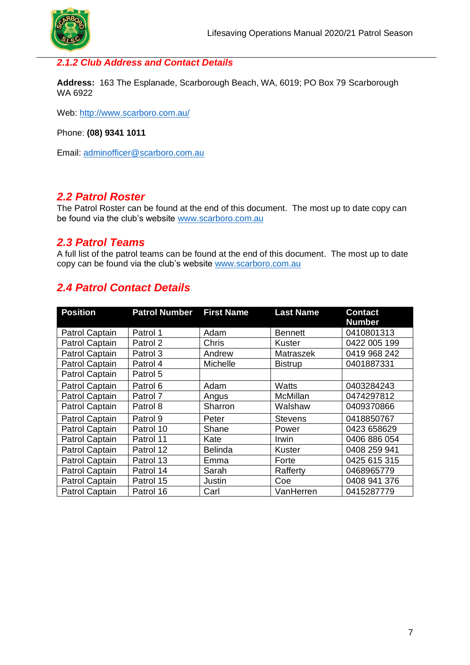

#### *2.1.2 Club Address and Contact Details*

**Address:** 163 The Esplanade, Scarborough Beach, WA, 6019; PO Box 79 Scarborough WA 6922

Web:<http://www.scarboro.com.au/>

Phone: **(08) 9341 1011**

Email: [adminofficer@scarboro.com.au](mailto:adminofficer@scarboro.com.au)

#### *2.2 Patrol Roster*

The Patrol Roster can be found at the end of this document. The most up to date copy can be found via the club's website [www.scarboro.com.au](http://www.scarboro.com.au/)

#### *2.3 Patrol Teams*

A full list of the patrol teams can be found at the end of this document. The most up to date copy can be found via the club's website [www.scarboro.com.au](http://www.scarboro.com.au/)

## *2.4 Patrol Contact Details*

| <b>Position</b>       | <b>Patrol Number</b> | <b>First Name</b> | <b>Last Name</b> | <b>Contact</b><br><b>Number</b> |
|-----------------------|----------------------|-------------------|------------------|---------------------------------|
| Patrol Captain        | Patrol 1             | Adam              | <b>Bennett</b>   | 0410801313                      |
| Patrol Captain        | Patrol 2             | Chris             | Kuster           | 0422 005 199                    |
| <b>Patrol Captain</b> | Patrol 3             | Andrew            | Matraszek        | 0419 968 242                    |
| Patrol Captain        | Patrol 4             | Michelle          | <b>Bistrup</b>   | 0401887331                      |
| Patrol Captain        | Patrol 5             |                   |                  |                                 |
| <b>Patrol Captain</b> | Patrol 6             | Adam              | <b>Watts</b>     | 0403284243                      |
| Patrol Captain        | Patrol 7             | Angus             | <b>McMillan</b>  | 0474297812                      |
| Patrol Captain        | Patrol 8             | Sharron           | Walshaw          | 0409370866                      |
| Patrol Captain        | Patrol 9             | Peter             | <b>Stevens</b>   | 0418850767                      |
| <b>Patrol Captain</b> | Patrol 10            | Shane             | Power            | 0423 658629                     |
| Patrol Captain        | Patrol 11            | Kate              | Irwin            | 0406 886 054                    |
| Patrol Captain        | Patrol 12            | <b>Belinda</b>    | Kuster           | 0408 259 941                    |
| Patrol Captain        | Patrol 13            | Emma              | Forte            | 0425 615 315                    |
| Patrol Captain        | Patrol 14            | Sarah             | Rafferty         | 0468965779                      |
| Patrol Captain        | Patrol 15            | Justin            | Coe              | 0408 941 376                    |
| Patrol Captain        | Patrol 16            | Carl              | VanHerren        | 0415287779                      |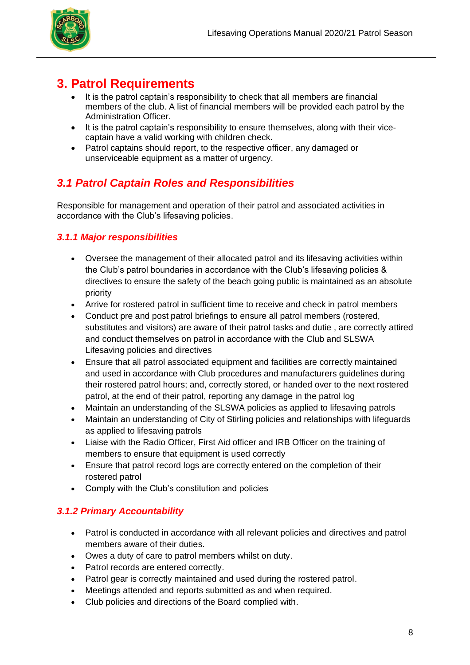

## **3. Patrol Requirements**

- It is the patrol captain's responsibility to check that all members are financial members of the club. A list of financial members will be provided each patrol by the Administration Officer.
- It is the patrol captain's responsibility to ensure themselves, along with their vicecaptain have a valid working with children check.
- Patrol captains should report, to the respective officer, any damaged or unserviceable equipment as a matter of urgency.

## *3.1 Patrol Captain Roles and Responsibilities*

Responsible for management and operation of their patrol and associated activities in accordance with the Club's lifesaving policies.

### *3.1.1 Major responsibilities*

- Oversee the management of their allocated patrol and its lifesaving activities within the Club's patrol boundaries in accordance with the Club's lifesaving policies & directives to ensure the safety of the beach going public is maintained as an absolute priority
- Arrive for rostered patrol in sufficient time to receive and check in patrol members
- Conduct pre and post patrol briefings to ensure all patrol members (rostered, substitutes and visitors) are aware of their patrol tasks and dutie , are correctly attired and conduct themselves on patrol in accordance with the Club and SLSWA Lifesaving policies and directives
- Ensure that all patrol associated equipment and facilities are correctly maintained and used in accordance with Club procedures and manufacturers guidelines during their rostered patrol hours; and, correctly stored, or handed over to the next rostered patrol, at the end of their patrol, reporting any damage in the patrol log
- Maintain an understanding of the SLSWA policies as applied to lifesaving patrols
- Maintain an understanding of City of Stirling policies and relationships with lifeguards as applied to lifesaving patrols
- Liaise with the Radio Officer, First Aid officer and IRB Officer on the training of members to ensure that equipment is used correctly
- Ensure that patrol record logs are correctly entered on the completion of their rostered patrol
- Comply with the Club's constitution and policies

### *3.1.2 Primary Accountability*

- Patrol is conducted in accordance with all relevant policies and directives and patrol members aware of their duties.
- Owes a duty of care to patrol members whilst on duty.
- Patrol records are entered correctly.
- Patrol gear is correctly maintained and used during the rostered patrol.
- Meetings attended and reports submitted as and when required.
- Club policies and directions of the Board complied with.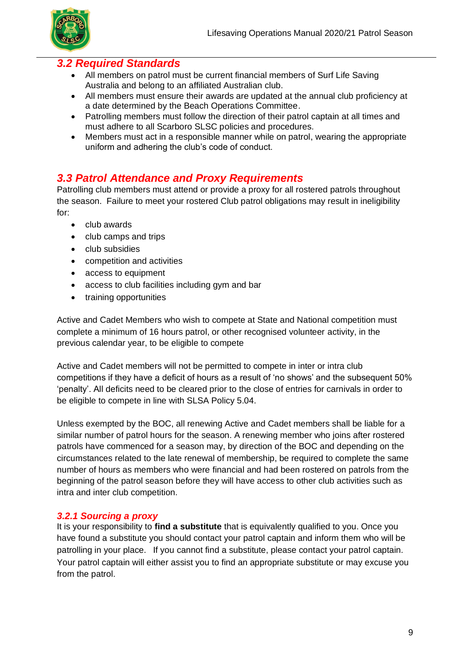

### *3.2 Required Standards*

- All members on patrol must be current financial members of Surf Life Saving Australia and belong to an affiliated Australian club.
- All members must ensure their awards are updated at the annual club proficiency at a date determined by the Beach Operations Committee.
- Patrolling members must follow the direction of their patrol captain at all times and must adhere to all Scarboro SLSC policies and procedures.
- Members must act in a responsible manner while on patrol, wearing the appropriate uniform and adhering the club's code of conduct.

## *3.3 Patrol Attendance and Proxy Requirements*

Patrolling club members must attend or provide a proxy for all rostered patrols throughout the season. Failure to meet your rostered Club patrol obligations may result in ineligibility for:

- club awards
- club camps and trips
- club subsidies
- competition and activities
- access to equipment
- access to club facilities including gym and bar
- training opportunities

Active and Cadet Members who wish to compete at State and National competition must complete a minimum of 16 hours patrol, or other recognised volunteer activity, in the previous calendar year, to be eligible to compete

Active and Cadet members will not be permitted to compete in inter or intra club competitions if they have a deficit of hours as a result of 'no shows' and the subsequent 50% 'penalty'. All deficits need to be cleared prior to the close of entries for carnivals in order to be eligible to compete in line with SLSA Policy 5.04.

Unless exempted by the BOC, all renewing Active and Cadet members shall be liable for a similar number of patrol hours for the season. A renewing member who joins after rostered patrols have commenced for a season may, by direction of the BOC and depending on the circumstances related to the late renewal of membership, be required to complete the same number of hours as members who were financial and had been rostered on patrols from the beginning of the patrol season before they will have access to other club activities such as intra and inter club competition.

#### *3.2.1 Sourcing a proxy*

It is your responsibility to **find a substitute** that is equivalently qualified to you. Once you have found a substitute you should contact your patrol captain and inform them who will be patrolling in your place. If you cannot find a substitute, please contact your patrol captain. Your patrol captain will either assist you to find an appropriate substitute or may excuse you from the patrol.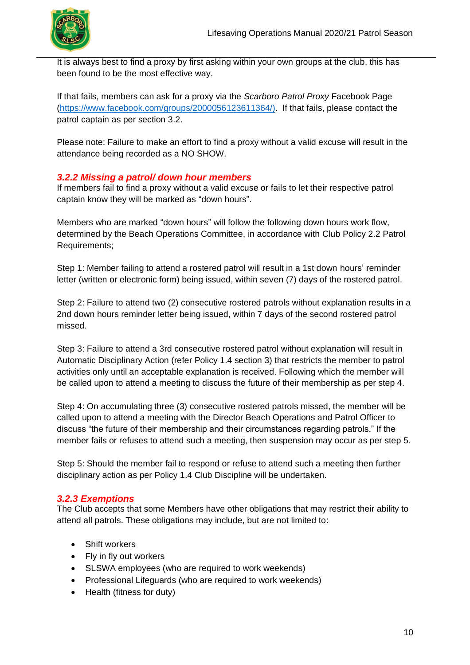

It is always best to find a proxy by first asking within your own groups at the club, this has been found to be the most effective way.

If that fails, members can ask for a proxy via the *Scarboro Patrol Proxy* Facebook Page [\(https://www.facebook.com/groups/2000056123611364/\).](https://www.facebook.com/groups/2000056123611364/)) If that fails, please contact the patrol captain as per section 3.2.

Please note: Failure to make an effort to find a proxy without a valid excuse will result in the attendance being recorded as a NO SHOW.

#### *3.2.2 Missing a patrol/ down hour members*

If members fail to find a proxy without a valid excuse or fails to let their respective patrol captain know they will be marked as "down hours".

Members who are marked "down hours" will follow the following down hours work flow, determined by the Beach Operations Committee, in accordance with Club Policy 2.2 Patrol Requirements;

Step 1: Member failing to attend a rostered patrol will result in a 1st down hours' reminder letter (written or electronic form) being issued, within seven (7) days of the rostered patrol.

Step 2: Failure to attend two (2) consecutive rostered patrols without explanation results in a 2nd down hours reminder letter being issued, within 7 days of the second rostered patrol missed.

Step 3: Failure to attend a 3rd consecutive rostered patrol without explanation will result in Automatic Disciplinary Action (refer Policy 1.4 section 3) that restricts the member to patrol activities only until an acceptable explanation is received. Following which the member will be called upon to attend a meeting to discuss the future of their membership as per step 4.

Step 4: On accumulating three (3) consecutive rostered patrols missed, the member will be called upon to attend a meeting with the Director Beach Operations and Patrol Officer to discuss "the future of their membership and their circumstances regarding patrols." If the member fails or refuses to attend such a meeting, then suspension may occur as per step 5.

Step 5: Should the member fail to respond or refuse to attend such a meeting then further disciplinary action as per Policy 1.4 Club Discipline will be undertaken.

#### *3.2.3 Exemptions*

The Club accepts that some Members have other obligations that may restrict their ability to attend all patrols. These obligations may include, but are not limited to:

- Shift workers
- Fly in fly out workers
- SLSWA employees (who are required to work weekends)
- Professional Lifeguards (who are required to work weekends)
- Health (fitness for duty)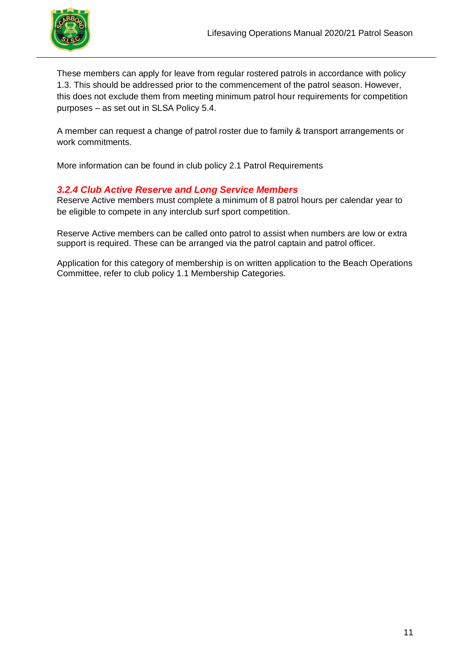

These members can apply for leave from regular rostered patrols in accordance with policy 1.3. This should be addressed prior to the commencement of the patrol season. However, this does not exclude them from meeting minimum patrol hour requirements for competition purposes – as set out in SLSA Policy 5.4.

A member can request a change of patrol roster due to family & transport arrangements or work commitments.

More information can be found in club policy 2.1 Patrol Requirements

#### *3.2.4 Club Active Reserve and Long Service Members*

Reserve Active members must complete a minimum of 8 patrol hours per calendar year to be eligible to compete in any interclub surf sport competition.

Reserve Active members can be called onto patrol to assist when numbers are low or extra support is required. These can be arranged via the patrol captain and patrol officer.

Application for this category of membership is on written application to the Beach Operations Committee, refer to club policy 1.1 Membership Categories.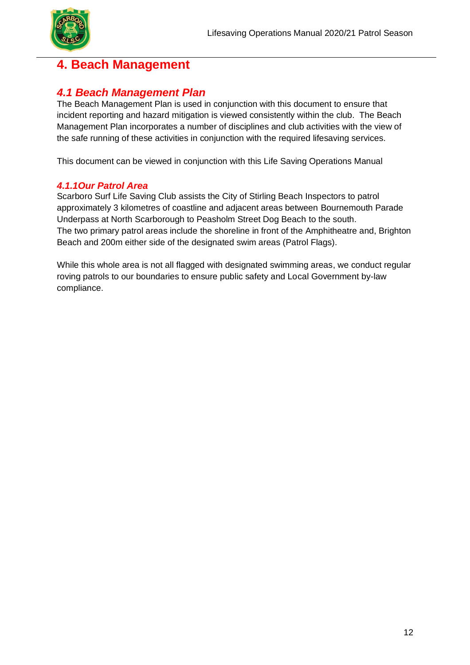

## **4. Beach Management**

## *4.1 Beach Management Plan*

The Beach Management Plan is used in conjunction with this document to ensure that incident reporting and hazard mitigation is viewed consistently within the club. The Beach Management Plan incorporates a number of disciplines and club activities with the view of the safe running of these activities in conjunction with the required lifesaving services.

This document can be viewed in conjunction with this Life Saving Operations Manual

#### *4.1.1Our Patrol Area*

Scarboro Surf Life Saving Club assists the City of Stirling Beach Inspectors to patrol approximately 3 kilometres of coastline and adjacent areas between Bournemouth Parade Underpass at North Scarborough to Peasholm Street Dog Beach to the south. The two primary patrol areas include the shoreline in front of the Amphitheatre and, Brighton Beach and 200m either side of the designated swim areas (Patrol Flags).

While this whole area is not all flagged with designated swimming areas, we conduct regular roving patrols to our boundaries to ensure public safety and Local Government by-law compliance.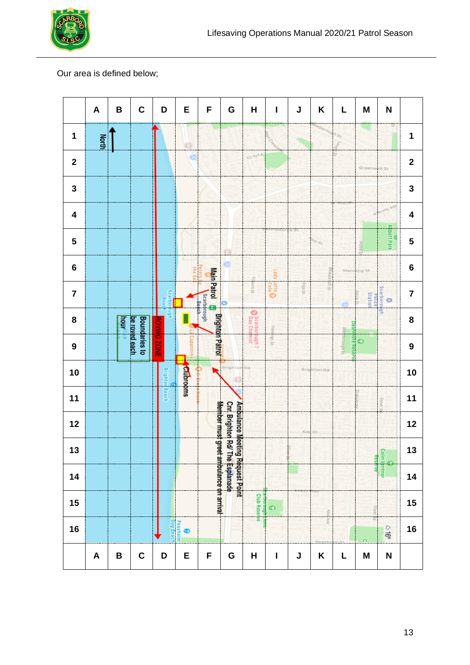

#### Our area is defined below;

|                         | $\pmb{\mathsf{A}}$        | B    | $\mathbf C$                           | D                  | E                | F                                                   | G                                                                                | Н                              | $\mathbf{I}$    | J        | $\boldsymbol{\mathsf{K}}$ | L         | M                               | N                 |                         |
|-------------------------|---------------------------|------|---------------------------------------|--------------------|------------------|-----------------------------------------------------|----------------------------------------------------------------------------------|--------------------------------|-----------------|----------|---------------------------|-----------|---------------------------------|-------------------|-------------------------|
| 1                       | <b>North</b>              |      |                                       |                    | O                |                                                     |                                                                                  |                                |                 |          |                           | s,        |                                 |                   | $\mathbf 1$             |
| $\mathbf{2}$            |                           |      |                                       |                    |                  |                                                     |                                                                                  | EA <sub>to</sub> Cr            |                 |          |                           |           | Greenwell St                    |                   | $\mathbf 2$             |
| 3                       |                           |      |                                       |                    |                  |                                                     |                                                                                  |                                |                 |          |                           |           |                                 |                   | 3                       |
| $\overline{\mathbf{4}}$ |                           |      |                                       |                    |                  |                                                     |                                                                                  |                                |                 |          |                           |           |                                 |                   | $\overline{\mathbf{4}}$ |
| 5                       |                           |      |                                       |                    |                  |                                                     |                                                                                  |                                |                 |          | <b>SILE</b>               |           |                                 | <b>bbett Park</b> | 5                       |
| $\bf 6$                 |                           |      |                                       |                    | 3                |                                                     |                                                                                  | Ì                              | Lady L          |          |                           |           | Manning St.                     |                   | $\bf 6$                 |
| $\overline{7}$          |                           |      |                                       | <b>Scarbon</b>     |                  | Main Patrol <b>d</b> Brighton Patrol<br>Scarborough |                                                                                  | <b>Jurn St</b>                 | <b>O</b> site O | $15$ ebp | $\frac{1}{2}$             |           | Scarboroug<br>Police<br>Station | $\odot$           | $\overline{\mathbf{7}}$ |
| 8                       |                           | hour |                                       |                    |                  |                                                     |                                                                                  | <b>C</b> Scarbors              | SR14            |          |                           | pean      |                                 | 9                 | 8                       |
| $\boldsymbol{9}$        |                           |      | <b>Boundaries to</b><br>be roved each | <b>ROVING ZONE</b> |                  |                                                     |                                                                                  | bugh 7                         | <b>JS sBu</b>   |          |                           | ore Resel | $\bullet$                       |                   | $\boldsymbol{9}$        |
| 10                      |                           |      |                                       | Brighto            | <b>Clubrooms</b> |                                                     | Brighton                                                                         | Rd                             |                 |          | <b>Brighton Rd</b>        |           |                                 |                   | 10                      |
| $11$                    |                           |      |                                       | Beach              |                  |                                                     |                                                                                  |                                |                 |          |                           |           |                                 |                   | $11$                    |
| 12                      |                           |      |                                       |                    |                  |                                                     |                                                                                  |                                |                 |          | Kay St                    |           |                                 |                   | 12                      |
| 13                      |                           |      |                                       |                    |                  |                                                     |                                                                                  |                                |                 |          |                           |           |                                 | <b>Kes</b>        | 13                      |
| 14                      |                           |      |                                       |                    |                  | Member must greet ambulance on arrival              | <b>Cnr. Brighton Rd/ The Esplanade</b><br><b>Ambulance Meeting Request Point</b> |                                |                 |          |                           |           |                                 | olin Ventnor      | 14                      |
| 15                      |                           |      |                                       |                    |                  |                                                     |                                                                                  | <b>Club Reserve</b><br>borough | $\bullet$       |          | For                       |           |                                 |                   | 15                      |
| 16                      |                           |      |                                       | og Beach           | Peashol          |                                                     |                                                                                  |                                |                 |          | ă                         |           |                                 | $-16$             | 16                      |
|                         | $\boldsymbol{\mathsf{A}}$ | B    | $\mathbf C$                           | D                  | E                | F                                                   | G                                                                                | $\overline{\mathsf{H}}$        | $\mathbf I$     | J        | K                         | L         | $\mathsf{M}$                    | N                 |                         |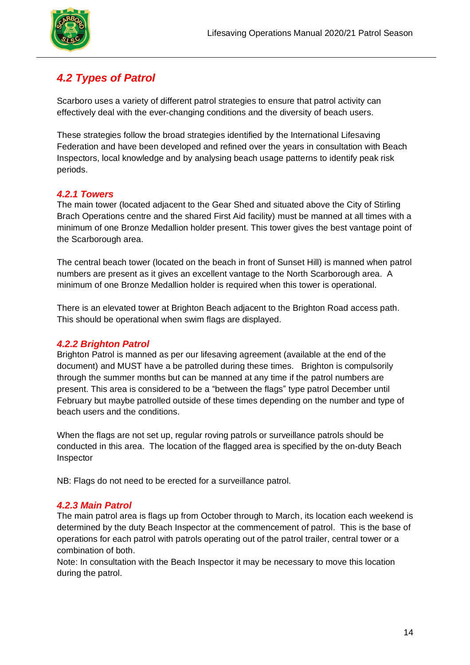

## *4.2 Types of Patrol*

Scarboro uses a variety of different patrol strategies to ensure that patrol activity can effectively deal with the ever-changing conditions and the diversity of beach users.

These strategies follow the broad strategies identified by the International Lifesaving Federation and have been developed and refined over the years in consultation with Beach Inspectors, local knowledge and by analysing beach usage patterns to identify peak risk periods.

#### *4.2.1 Towers*

The main tower (located adjacent to the Gear Shed and situated above the City of Stirling Brach Operations centre and the shared First Aid facility) must be manned at all times with a minimum of one Bronze Medallion holder present. This tower gives the best vantage point of the Scarborough area.

The central beach tower (located on the beach in front of Sunset Hill) is manned when patrol numbers are present as it gives an excellent vantage to the North Scarborough area. A minimum of one Bronze Medallion holder is required when this tower is operational.

There is an elevated tower at Brighton Beach adjacent to the Brighton Road access path. This should be operational when swim flags are displayed.

#### *4.2.2 Brighton Patrol*

Brighton Patrol is manned as per our lifesaving agreement (available at the end of the document) and MUST have a be patrolled during these times. Brighton is compulsorily through the summer months but can be manned at any time if the patrol numbers are present. This area is considered to be a "between the flags" type patrol December until February but maybe patrolled outside of these times depending on the number and type of beach users and the conditions.

When the flags are not set up, regular roving patrols or surveillance patrols should be conducted in this area. The location of the flagged area is specified by the on-duty Beach Inspector

NB: Flags do not need to be erected for a surveillance patrol.

#### *4.2.3 Main Patrol*

The main patrol area is flags up from October through to March, its location each weekend is determined by the duty Beach Inspector at the commencement of patrol. This is the base of operations for each patrol with patrols operating out of the patrol trailer, central tower or a combination of both.

Note: In consultation with the Beach Inspector it may be necessary to move this location during the patrol.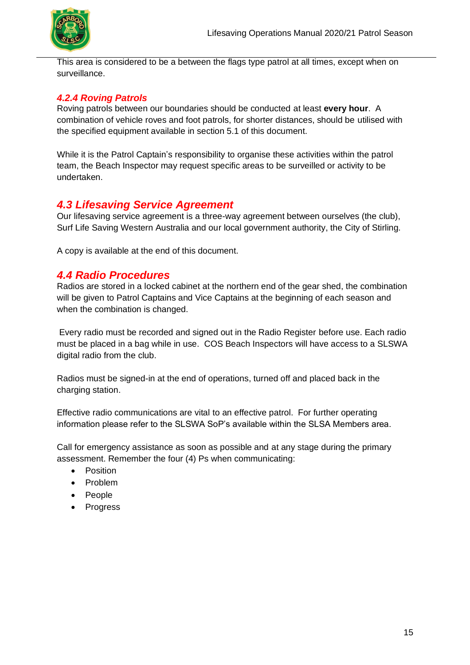

This area is considered to be a between the flags type patrol at all times, except when on surveillance.

#### *4.2.4 Roving Patrols*

Roving patrols between our boundaries should be conducted at least **every hour**. A combination of vehicle roves and foot patrols, for shorter distances, should be utilised with the specified equipment available in section 5.1 of this document.

While it is the Patrol Captain's responsibility to organise these activities within the patrol team, the Beach Inspector may request specific areas to be surveilled or activity to be undertaken.

## *4.3 Lifesaving Service Agreement*

Our lifesaving service agreement is a three-way agreement between ourselves (the club), Surf Life Saving Western Australia and our local government authority, the City of Stirling.

A copy is available at the end of this document.

### *4.4 Radio Procedures*

Radios are stored in a locked cabinet at the northern end of the gear shed, the combination will be given to Patrol Captains and Vice Captains at the beginning of each season and when the combination is changed.

Every radio must be recorded and signed out in the Radio Register before use. Each radio must be placed in a bag while in use. COS Beach Inspectors will have access to a SLSWA digital radio from the club.

Radios must be signed-in at the end of operations, turned off and placed back in the charging station.

Effective radio communications are vital to an effective patrol. For further operating information please refer to the SLSWA SoP's available within the SLSA Members area.

Call for emergency assistance as soon as possible and at any stage during the primary assessment. Remember the four (4) Ps when communicating:

- Position
- Problem
- People
- Progress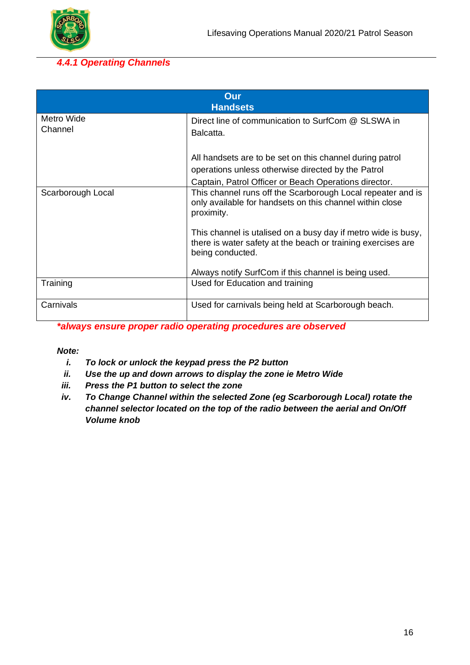

### *4.4.1 Operating Channels*

| Our<br><b>Handsets</b> |                                                                                                                                                                         |  |  |  |
|------------------------|-------------------------------------------------------------------------------------------------------------------------------------------------------------------------|--|--|--|
| Metro Wide<br>Channel  | Direct line of communication to SurfCom @ SLSWA in<br>Balcatta.                                                                                                         |  |  |  |
|                        | All handsets are to be set on this channel during patrol<br>operations unless otherwise directed by the Patrol<br>Captain, Patrol Officer or Beach Operations director. |  |  |  |
| Scarborough Local      | This channel runs off the Scarborough Local repeater and is<br>only available for handsets on this channel within close<br>proximity.                                   |  |  |  |
|                        | This channel is utalised on a busy day if metro wide is busy,<br>there is water safety at the beach or training exercises are<br>being conducted.                       |  |  |  |
|                        | Always notify SurfCom if this channel is being used.                                                                                                                    |  |  |  |
| Training               | Used for Education and training                                                                                                                                         |  |  |  |
| Carnivals              | Used for carnivals being held at Scarborough beach.                                                                                                                     |  |  |  |

*\*always ensure proper radio operating procedures are observed*

#### *Note:*

- *i. To lock or unlock the keypad press the P2 button*
- *ii. Use the up and down arrows to display the zone ie Metro Wide*
- *iii. Press the P1 button to select the zone*
- *iv. To Change Channel within the selected Zone (eg Scarborough Local) rotate the channel selector located on the top of the radio between the aerial and On/Off Volume knob*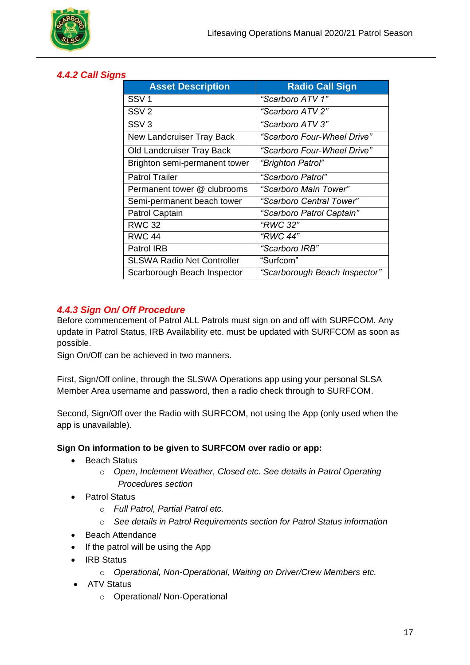

#### *4.4.2 Call Signs*

| <b>Asset Description</b>          | <b>Radio Call Sign</b>        |
|-----------------------------------|-------------------------------|
| SSV <sub>1</sub>                  | "Scarboro ATV 1"              |
| SSV <sub>2</sub>                  | "Scarboro ATV 2"              |
| SSV <sub>3</sub>                  | "Scarboro ATV 3"              |
| New Landcruiser Tray Back         | "Scarboro Four-Wheel Drive"   |
| Old Landcruiser Tray Back         | "Scarboro Four-Wheel Drive"   |
| Brighton semi-permanent tower     | "Brighton Patrol"             |
| <b>Patrol Trailer</b>             | "Scarboro Patrol"             |
| Permanent tower @ clubrooms       | "Scarboro Main Tower"         |
| Semi-permanent beach tower        | "Scarboro Central Tower"      |
| Patrol Captain                    | "Scarboro Patrol Captain"     |
| <b>RWC 32</b>                     | "RWC 32"                      |
| <b>RWC 44</b>                     | "RWC 44"                      |
| Patrol IRB                        | "Scarboro IRB"                |
| <b>SLSWA Radio Net Controller</b> | "Surfcom"                     |
| Scarborough Beach Inspector       | "Scarborough Beach Inspector" |

#### *4.4.3 Sign On/ Off Procedure*

Before commencement of Patrol ALL Patrols must sign on and off with SURFCOM. Any update in Patrol Status, IRB Availability etc. must be updated with SURFCOM as soon as possible.

Sign On/Off can be achieved in two manners.

First, Sign/Off online, through the SLSWA Operations app using your personal SLSA Member Area username and password, then a radio check through to SURFCOM.

Second, Sign/Off over the Radio with SURFCOM, not using the App (only used when the app is unavailable).

#### **Sign On information to be given to SURFCOM over radio or app:**

- Beach Status
	- o *Open*, *Inclement Weather, Closed etc. See details in Patrol Operating Procedures section*
- Patrol Status
	- o *Full Patrol, Partial Patrol etc.*
	- o *See details in Patrol Requirements section for Patrol Status information*
- Beach Attendance
- If the patrol will be using the App
- IRB Status
	- o *Operational, Non-Operational, Waiting on Driver/Crew Members etc.*
- ATV Status
	- o Operational/ Non-Operational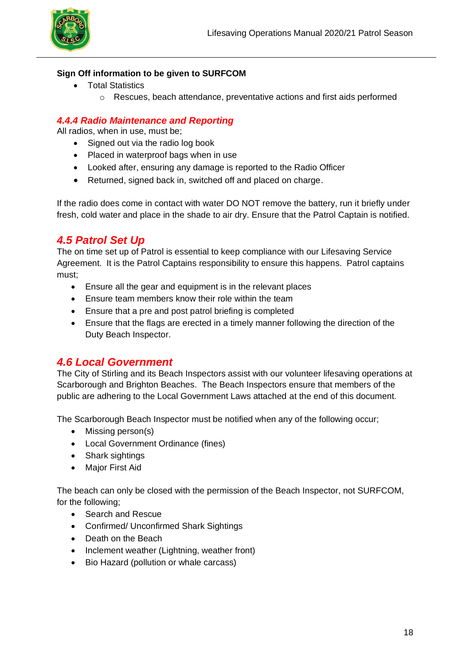

#### **Sign Off information to be given to SURFCOM**

- Total Statistics
	- $\circ$  Rescues, beach attendance, preventative actions and first aids performed

### *4.4.4 Radio Maintenance and Reporting*

All radios, when in use, must be;

- Signed out via the radio log book
- Placed in waterproof bags when in use
- Looked after, ensuring any damage is reported to the Radio Officer
- Returned, signed back in, switched off and placed on charge.

If the radio does come in contact with water DO NOT remove the battery, run it briefly under fresh, cold water and place in the shade to air dry. Ensure that the Patrol Captain is notified.

## *4.5 Patrol Set Up*

The on time set up of Patrol is essential to keep compliance with our Lifesaving Service Agreement. It is the Patrol Captains responsibility to ensure this happens. Patrol captains must;

- Ensure all the gear and equipment is in the relevant places
- Ensure team members know their role within the team
- Ensure that a pre and post patrol briefing is completed
- Ensure that the flags are erected in a timely manner following the direction of the Duty Beach Inspector.

#### *4.6 Local Government*

The City of Stirling and its Beach Inspectors assist with our volunteer lifesaving operations at Scarborough and Brighton Beaches. The Beach Inspectors ensure that members of the public are adhering to the Local Government Laws attached at the end of this document.

The Scarborough Beach Inspector must be notified when any of the following occur;

- Missing person(s)
- Local Government Ordinance (fines)
- Shark sightings
- Major First Aid

The beach can only be closed with the permission of the Beach Inspector, not SURFCOM, for the following;

- Search and Rescue
- Confirmed/ Unconfirmed Shark Sightings
- Death on the Beach
- Inclement weather (Lightning, weather front)
- Bio Hazard (pollution or whale carcass)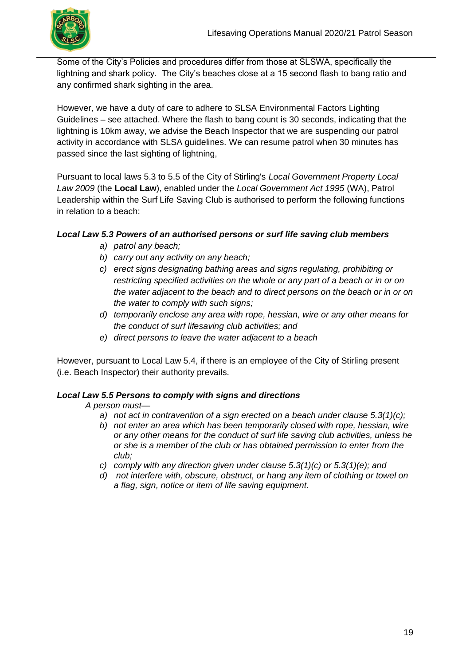

Some of the City's Policies and procedures differ from those at SLSWA, specifically the lightning and shark policy. The City's beaches close at a 15 second flash to bang ratio and any confirmed shark sighting in the area.

However, we have a duty of care to adhere to SLSA Environmental Factors Lighting Guidelines – see attached. Where the flash to bang count is 30 seconds, indicating that the lightning is 10km away, we advise the Beach Inspector that we are suspending our patrol activity in accordance with SLSA guidelines. We can resume patrol when 30 minutes has passed since the last sighting of lightning,

Pursuant to local laws 5.3 to 5.5 of the City of Stirling's *Local Government Property Local Law 2009* (the **Local Law**), enabled under the *Local Government Act 1995* (WA), Patrol Leadership within the Surf Life Saving Club is authorised to perform the following functions in relation to a beach:

#### *Local Law 5.3 Powers of an authorised persons or surf life saving club members*

- *a) patrol any beach;*
- *b) carry out any activity on any beach;*
- *c) erect signs designating bathing areas and signs regulating, prohibiting or restricting specified activities on the whole or any part of a beach or in or on the water adjacent to the beach and to direct persons on the beach or in or on the water to comply with such signs;*
- *d) temporarily enclose any area with rope, hessian, wire or any other means for the conduct of surf lifesaving club activities; and*
- *e) direct persons to leave the water adjacent to a beach*

However, pursuant to Local Law 5.4, if there is an employee of the City of Stirling present (i.e. Beach Inspector) their authority prevails.

#### *Local Law 5.5 Persons to comply with signs and directions*

*A person must—*

- *a) not act in contravention of a sign erected on a beach under clause 5.3(1)(c);*
- *b) not enter an area which has been temporarily closed with rope, hessian, wire or any other means for the conduct of surf life saving club activities, unless he or she is a member of the club or has obtained permission to enter from the club;*
- *c) comply with any direction given under clause 5.3(1)(c) or 5.3(1)(e); and*
- *d) not interfere with, obscure, obstruct, or hang any item of clothing or towel on a flag, sign, notice or item of life saving equipment.*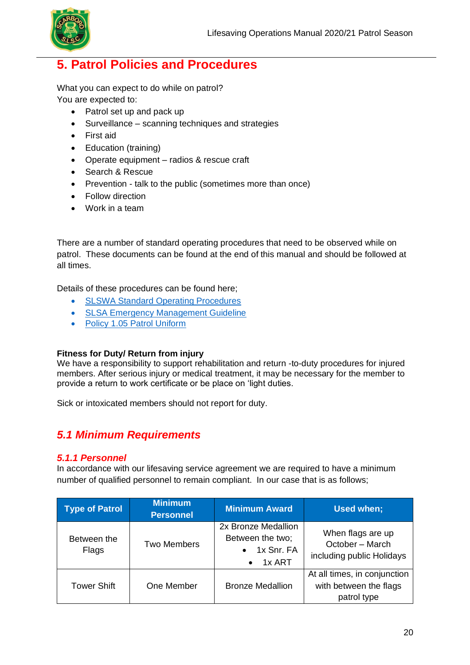

## **5. Patrol Policies and Procedures**

What you can expect to do while on patrol? You are expected to:

- Patrol set up and pack up
- Surveillance scanning techniques and strategies
- First aid
- Education (training)
- Operate equipment radios & rescue craft
- Search & Rescue
- Prevention talk to the public (sometimes more than once)
- Follow direction
- Work in a team

There are a number of standard operating procedures that need to be observed while on patrol. These documents can be found at the end of this manual and should be followed at all times.

Details of these procedures can be found here;

- [SLSWA Standard Operating Procedures](https://members.sls.com.au/members/document_library/8/media/543)
- [SLSA Emergency Management Guideline](https://members.sls.com.au/members/document_library/1/media/953)
- [Policy 1.05 Patrol Uniform](https://members.sls.com.au/members/document_library/1/media/931)

#### **Fitness for Duty/ Return from injury**

We have a responsibility to support rehabilitation and return -to-duty procedures for injured members. After serious injury or medical treatment, it may be necessary for the member to provide a return to work certificate or be place on 'light duties.

Sick or intoxicated members should not report for duty.

### *5.1 Minimum Requirements*

#### *5.1.1 Personnel*

In accordance with our lifesaving service agreement we are required to have a minimum number of qualified personnel to remain compliant. In our case that is as follows;

| <b>Type of Patrol</b> | <b>Minimum</b><br><b>Personnel</b> | <b>Minimum Award</b>                                                                | Used when;                                                            |
|-----------------------|------------------------------------|-------------------------------------------------------------------------------------|-----------------------------------------------------------------------|
| Between the<br>Flags  | <b>Two Members</b>                 | 2x Bronze Medallion<br>Between the two:<br>$\bullet$ 1x Snr. FA<br>$\bullet$ 1x ART | When flags are up<br>October - March<br>including public Holidays     |
| <b>Tower Shift</b>    | One Member                         | <b>Bronze Medallion</b>                                                             | At all times, in conjunction<br>with between the flags<br>patrol type |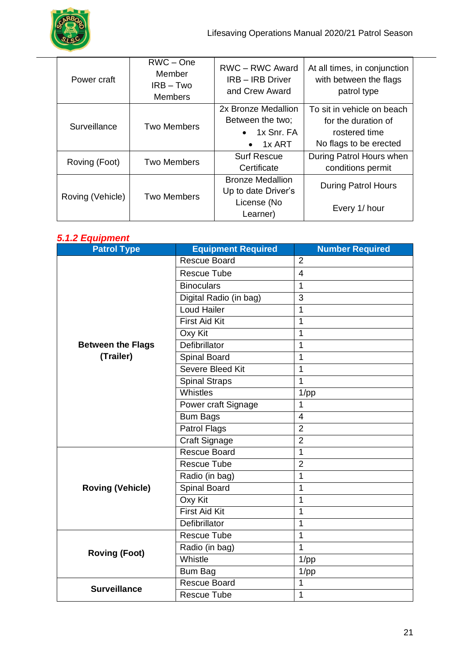

| Power craft      | $RWC - One$<br>Member<br>$IRB - Two$<br><b>Members</b> | <b>RWC-RWC Award</b><br><b>IRB - IRB Driver</b><br>and Crew Award | At all times, in conjunction<br>with between the flags<br>patrol type |
|------------------|--------------------------------------------------------|-------------------------------------------------------------------|-----------------------------------------------------------------------|
|                  |                                                        | 2x Bronze Medallion                                               | To sit in vehicle on beach                                            |
| Surveillance     | <b>Two Members</b>                                     | Between the two;                                                  | for the duration of                                                   |
|                  |                                                        | $\bullet$ 1x Snr. FA                                              | rostered time                                                         |
|                  |                                                        | 1x ART<br>$\bullet$                                               | No flags to be erected                                                |
|                  | <b>Two Members</b>                                     | <b>Surf Rescue</b>                                                | During Patrol Hours when                                              |
| Roving (Foot)    |                                                        | Certificate                                                       | conditions permit                                                     |
|                  |                                                        | <b>Bronze Medallion</b>                                           | <b>During Patrol Hours</b>                                            |
|                  | <b>Two Members</b>                                     | Up to date Driver's                                               |                                                                       |
| Roving (Vehicle) |                                                        | License (No                                                       | Every 1/ hour                                                         |
|                  |                                                        | Learner)                                                          |                                                                       |

#### *5.1.2 Equipment*

| <b>Patrol Type</b>       | <b>Equipment Required</b> | <b>Number Required</b> |
|--------------------------|---------------------------|------------------------|
|                          | Rescue Board              | $\overline{2}$         |
|                          | <b>Rescue Tube</b>        | 4                      |
|                          | <b>Binoculars</b>         | 1                      |
|                          | Digital Radio (in bag)    | $\overline{3}$         |
|                          | Loud Hailer               | 1                      |
|                          | <b>First Aid Kit</b>      | 1                      |
|                          | Oxy Kit                   | 1                      |
| <b>Between the Flags</b> | Defibrillator             | 1                      |
| (Trailer)                | Spinal Board              | 1                      |
|                          | Severe Bleed Kit          | 1                      |
|                          | <b>Spinal Straps</b>      | 1                      |
|                          | Whistles                  | $1$ /pp                |
|                          | Power craft Signage       | 1                      |
|                          | <b>Bum Bags</b>           | $\overline{4}$         |
|                          | Patrol Flags              | $\overline{2}$         |
|                          | Craft Signage             | $\overline{2}$         |
|                          | <b>Rescue Board</b>       | $\mathbf{1}$           |
|                          | Rescue Tube               | $\overline{2}$         |
|                          | Radio (in bag)            | 1                      |
| <b>Roving (Vehicle)</b>  | Spinal Board              | 1                      |
|                          | Oxy Kit                   | 1                      |
|                          | <b>First Aid Kit</b>      | 1                      |
|                          | Defibrillator             | 1                      |
|                          | Rescue Tube               | 1                      |
| <b>Roving (Foot)</b>     | Radio (in bag)            | 1                      |
|                          | Whistle                   | $1$ /pp                |
|                          | <b>Bum Bag</b>            | $1$ /pp                |
| <b>Surveillance</b>      | <b>Rescue Board</b>       | 1                      |
|                          | <b>Rescue Tube</b>        | 1                      |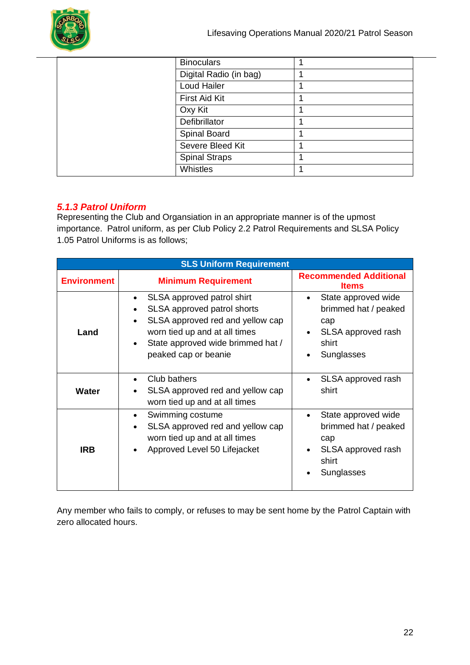

| <b>Binoculars</b>      |  |
|------------------------|--|
| Digital Radio (in bag) |  |
| Loud Hailer            |  |
| First Aid Kit          |  |
| Oxy Kit                |  |
| Defibrillator          |  |
| <b>Spinal Board</b>    |  |
| Severe Bleed Kit       |  |
| <b>Spinal Straps</b>   |  |
| Whistles               |  |

#### *5.1.3 Patrol Uniform*

Representing the Club and Organsiation in an appropriate manner is of the upmost importance. Patrol uniform, as per Club Policy 2.2 Patrol Requirements and SLSA Policy 1.05 Patrol Uniforms is as follows;

| <b>SLS Uniform Requirement</b> |                                                                                                                                                                                                                                    |                                                                                                 |  |  |  |
|--------------------------------|------------------------------------------------------------------------------------------------------------------------------------------------------------------------------------------------------------------------------------|-------------------------------------------------------------------------------------------------|--|--|--|
| <b>Environment</b>             | <b>Minimum Requirement</b>                                                                                                                                                                                                         | <b>Recommended Additional</b><br><b>Items</b>                                                   |  |  |  |
| Land                           | SLSA approved patrol shirt<br>$\bullet$<br>SLSA approved patrol shorts<br>SLSA approved red and yellow cap<br>$\bullet$<br>worn tied up and at all times<br>State approved wide brimmed hat /<br>$\bullet$<br>peaked cap or beanie | State approved wide<br>brimmed hat / peaked<br>cap<br>SLSA approved rash<br>shirt<br>Sunglasses |  |  |  |
| Water                          | Club bathers<br>$\bullet$<br>SLSA approved red and yellow cap<br>worn tied up and at all times                                                                                                                                     | SLSA approved rash<br>shirt                                                                     |  |  |  |
| <b>IRB</b>                     | Swimming costume<br>$\bullet$<br>SLSA approved red and yellow cap<br>$\bullet$<br>worn tied up and at all times<br>Approved Level 50 Lifejacket<br>$\bullet$                                                                       | State approved wide<br>brimmed hat / peaked<br>cap<br>SLSA approved rash<br>shirt<br>Sunglasses |  |  |  |

Any member who fails to comply, or refuses to may be sent home by the Patrol Captain with zero allocated hours.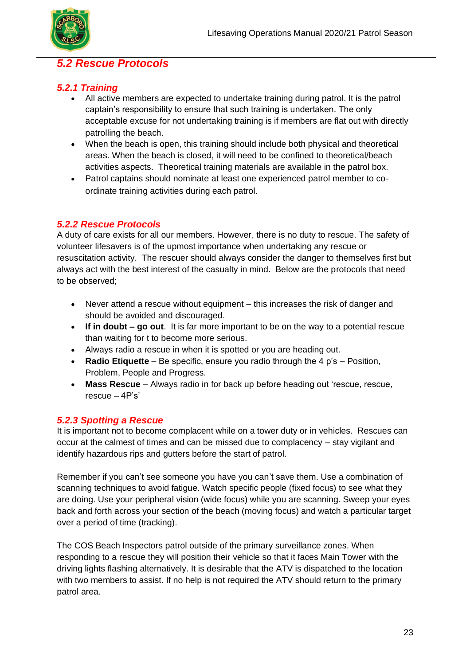

### *5.2 Rescue Protocols*

#### *5.2.1 Training*

- All active members are expected to undertake training during patrol. It is the patrol captain's responsibility to ensure that such training is undertaken. The only acceptable excuse for not undertaking training is if members are flat out with directly patrolling the beach.
- When the beach is open, this training should include both physical and theoretical areas. When the beach is closed, it will need to be confined to theoretical/beach activities aspects. Theoretical training materials are available in the patrol box.
- Patrol captains should nominate at least one experienced patrol member to coordinate training activities during each patrol.

### *5.2.2 Rescue Protocols*

A duty of care exists for all our members. However, there is no duty to rescue. The safety of volunteer lifesavers is of the upmost importance when undertaking any rescue or resuscitation activity. The rescuer should always consider the danger to themselves first but always act with the best interest of the casualty in mind. Below are the protocols that need to be observed;

- Never attend a rescue without equipment this increases the risk of danger and should be avoided and discouraged.
- **If in doubt – go out**. It is far more important to be on the way to a potential rescue than waiting for t to become more serious.
- Always radio a rescue in when it is spotted or you are heading out.
- **Radio Etiquette**  Be specific, ensure you radio through the 4 p's Position, Problem, People and Progress.
- **Mass Rescue** Always radio in for back up before heading out 'rescue, rescue, rescue  $-4P's'$

#### *5.2.3 Spotting a Rescue*

It is important not to become complacent while on a tower duty or in vehicles. Rescues can occur at the calmest of times and can be missed due to complacency – stay vigilant and identify hazardous rips and gutters before the start of patrol.

Remember if you can't see someone you have you can't save them. Use a combination of scanning techniques to avoid fatigue. Watch specific people (fixed focus) to see what they are doing. Use your peripheral vision (wide focus) while you are scanning. Sweep your eyes back and forth across your section of the beach (moving focus) and watch a particular target over a period of time (tracking).

The COS Beach Inspectors patrol outside of the primary surveillance zones. When responding to a rescue they will position their vehicle so that it faces Main Tower with the driving lights flashing alternatively. It is desirable that the ATV is dispatched to the location with two members to assist. If no help is not required the ATV should return to the primary patrol area.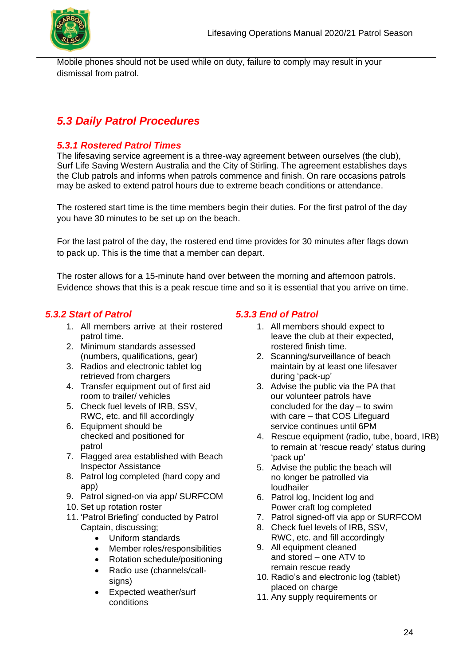

Mobile phones should not be used while on duty, failure to comply may result in your dismissal from patrol.

## *5.3 Daily Patrol Procedures*

### *5.3.1 Rostered Patrol Times*

The lifesaving service agreement is a three-way agreement between ourselves (the club), Surf Life Saving Western Australia and the City of Stirling. The agreement establishes days the Club patrols and informs when patrols commence and finish. On rare occasions patrols may be asked to extend patrol hours due to extreme beach conditions or attendance.

The rostered start time is the time members begin their duties. For the first patrol of the day you have 30 minutes to be set up on the beach.

For the last patrol of the day, the rostered end time provides for 30 minutes after flags down to pack up. This is the time that a member can depart.

The roster allows for a 15-minute hand over between the morning and afternoon patrols. Evidence shows that this is a peak rescue time and so it is essential that you arrive on time.

#### *5.3.2 Start of Patrol*

- 1. All members arrive at their rostered patrol time.
- 2. Minimum standards assessed (numbers, qualifications, gear)
- 3. Radios and electronic tablet log retrieved from chargers
- 4. Transfer equipment out of first aid room to trailer/ vehicles
- 5. Check fuel levels of IRB, SSV, RWC, etc. and fill accordingly
- 6. Equipment should be checked and positioned for patrol
- 7. Flagged area established with Beach Inspector Assistance
- 8. Patrol log completed (hard copy and app)
- 9. Patrol signed-on via app/ SURFCOM
- 10. Set up rotation roster
- 11. 'Patrol Briefing' conducted by Patrol Captain, discussing;
	- Uniform standards
	- Member roles/responsibilities
	- Rotation schedule/positioning
	- Radio use (channels/callsigns)
	- Expected weather/surf conditions

#### *5.3.3 End of Patrol*

- 1. All members should expect to leave the club at their expected, rostered finish time.
- 2. Scanning/surveillance of beach maintain by at least one lifesaver during 'pack-up'
- 3. Advise the public via the PA that our volunteer patrols have concluded for the day – to swim with care – that COS Lifeguard service continues until 6PM
- 4. Rescue equipment (radio, tube, board, IRB) to remain at 'rescue ready' status during 'pack up'
- 5. Advise the public the beach will no longer be patrolled via loudhailer
- 6. Patrol log, Incident log and Power craft log completed
- 7. Patrol signed-off via app or SURFCOM
- 8. Check fuel levels of IRB, SSV, RWC, etc. and fill accordingly
- 9. All equipment cleaned and stored – one ATV to remain rescue ready
- 10. Radio's and electronic log (tablet) placed on charge
- 11. Any supply requirements or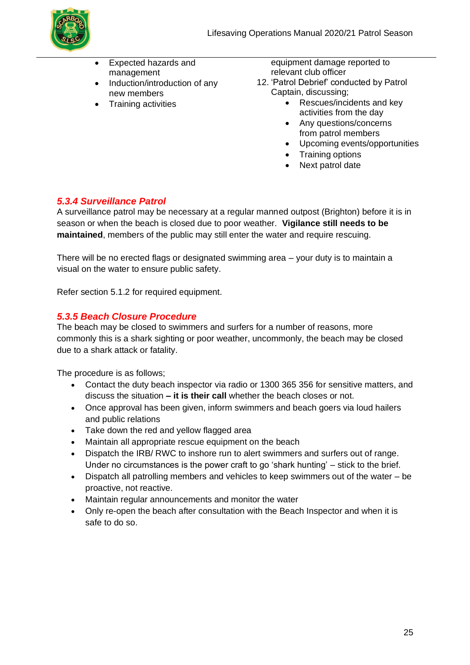

- Expected hazards and management
- Induction/introduction of any new members
- Training activities

equipment damage reported to relevant club officer 12. 'Patrol Debrief' conducted by Patrol

- Captain, discussing;
	- Rescues/incidents and key activities from the day
	- Any questions/concerns from patrol members
	- Upcoming events/opportunities
	- Training options
	- Next patrol date

### *5.3.4 Surveillance Patrol*

A surveillance patrol may be necessary at a regular manned outpost (Brighton) before it is in season or when the beach is closed due to poor weather. **Vigilance still needs to be maintained**, members of the public may still enter the water and require rescuing.

There will be no erected flags or designated swimming area – your duty is to maintain a visual on the water to ensure public safety.

Refer section 5.1.2 for required equipment.

#### *5.3.5 Beach Closure Procedure*

The beach may be closed to swimmers and surfers for a number of reasons, more commonly this is a shark sighting or poor weather, uncommonly, the beach may be closed due to a shark attack or fatality.

The procedure is as follows;

- Contact the duty beach inspector via radio or 1300 365 356 for sensitive matters, and discuss the situation **– it is their call** whether the beach closes or not.
- Once approval has been given, inform swimmers and beach goers via loud hailers and public relations
- Take down the red and yellow flagged area
- Maintain all appropriate rescue equipment on the beach
- Dispatch the IRB/ RWC to inshore run to alert swimmers and surfers out of range. Under no circumstances is the power craft to go 'shark hunting' – stick to the brief.
- Dispatch all patrolling members and vehicles to keep swimmers out of the water be proactive, not reactive.
- Maintain regular announcements and monitor the water
- Only re-open the beach after consultation with the Beach Inspector and when it is safe to do so.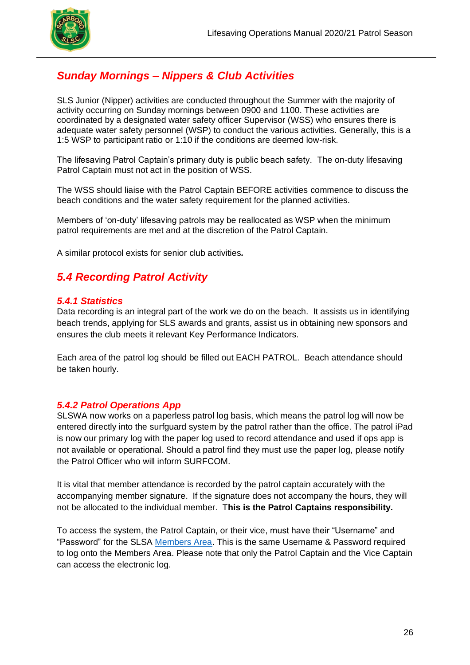

## *Sunday Mornings – Nippers & Club Activities*

SLS Junior (Nipper) activities are conducted throughout the Summer with the majority of activity occurring on Sunday mornings between 0900 and 1100. These activities are coordinated by a designated water safety officer Supervisor (WSS) who ensures there is adequate water safety personnel (WSP) to conduct the various activities. Generally, this is a 1:5 WSP to participant ratio or 1:10 if the conditions are deemed low-risk.

The lifesaving Patrol Captain's primary duty is public beach safety. The on-duty lifesaving Patrol Captain must not act in the position of WSS.

The WSS should liaise with the Patrol Captain BEFORE activities commence to discuss the beach conditions and the water safety requirement for the planned activities.

Members of 'on-duty' lifesaving patrols may be reallocated as WSP when the minimum patrol requirements are met and at the discretion of the Patrol Captain.

A similar protocol exists for senior club activities*.*

## *5.4 Recording Patrol Activity*

#### *5.4.1 Statistics*

Data recording is an integral part of the work we do on the beach. It assists us in identifying beach trends, applying for SLS awards and grants, assist us in obtaining new sponsors and ensures the club meets it relevant Key Performance Indicators.

Each area of the patrol log should be filled out EACH PATROL. Beach attendance should be taken hourly.

#### *5.4.2 Patrol Operations App*

SLSWA now works on a paperless patrol log basis, which means the patrol log will now be entered directly into the surfguard system by the patrol rather than the office. The patrol iPad is now our primary log with the paper log used to record attendance and used if ops app is not available or operational. Should a patrol find they must use the paper log, please notify the Patrol Officer who will inform SURFCOM.

It is vital that member attendance is recorded by the patrol captain accurately with the accompanying member signature. If the signature does not accompany the hours, they will not be allocated to the individual member. T**his is the Patrol Captains responsibility.**

To access the system, the Patrol Captain, or their vice, must have their "Username" and "Password" for the SLSA [Members Area.](https://members.sls.com.au/SLSA_Online/modules/login/index.php) This is the same Username & Password required to log onto the Members Area. Please note that only the Patrol Captain and the Vice Captain can access the electronic log.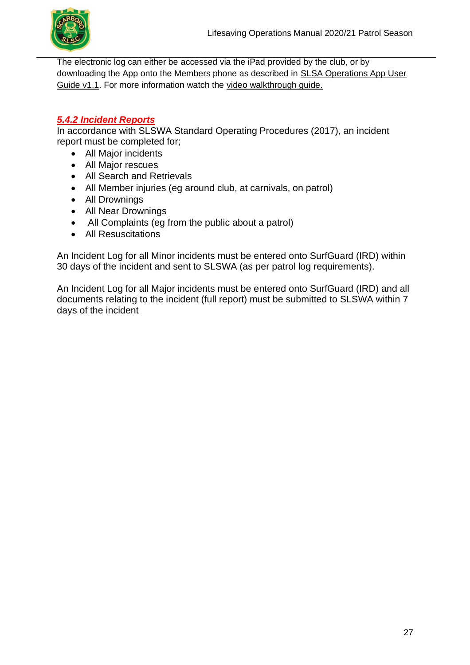

The electronic log can either be accessed via the iPad provided by the club, or by downloading the App onto the Members phone as described in **SLSA Operations App User** [Guide v1.1.](https://www.surflifesaving.com.au/sites/site.test/files/SLSA%20Operations%20App%20User%20Guide%20v1_0.pdf) For more information watch the [video walkthrough guide.](https://www.youtube.com/watch?v=fMFhSGNna5U&feature=youtu.be)

### *5.4.2 Incident Reports*

In accordance with SLSWA Standard Operating Procedures (2017), an incident report must be completed for;

- All Major incidents
- All Major rescues
- All Search and Retrievals
- All Member injuries (eg around club, at carnivals, on patrol)
- All Drownings
- All Near Drownings
- All Complaints (eg from the public about a patrol)
- All Resuscitations

An Incident Log for all Minor incidents must be entered onto SurfGuard (IRD) within 30 days of the incident and sent to SLSWA (as per patrol log requirements).

An Incident Log for all Major incidents must be entered onto SurfGuard (IRD) and all documents relating to the incident (full report) must be submitted to SLSWA within 7 days of the incident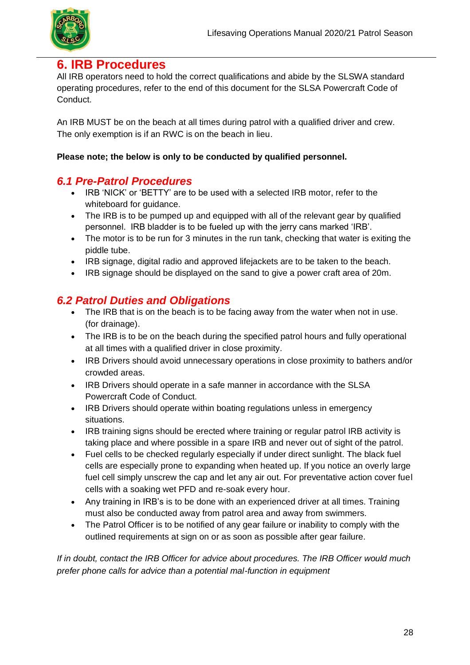

## **6. IRB Procedures**

All IRB operators need to hold the correct qualifications and abide by the SLSWA standard operating procedures, refer to the end of this document for the SLSA Powercraft Code of Conduct.

An IRB MUST be on the beach at all times during patrol with a qualified driver and crew. The only exemption is if an RWC is on the beach in lieu.

#### **Please note; the below is only to be conducted by qualified personnel.**

### *6.1 Pre-Patrol Procedures*

- IRB 'NICK' or 'BETTY' are to be used with a selected IRB motor, refer to the whiteboard for quidance.
- The IRB is to be pumped up and equipped with all of the relevant gear by qualified personnel. IRB bladder is to be fueled up with the jerry cans marked 'IRB'.
- The motor is to be run for 3 minutes in the run tank, checking that water is exiting the piddle tube.
- IRB signage, digital radio and approved lifejackets are to be taken to the beach.
- IRB signage should be displayed on the sand to give a power craft area of 20m.

## *6.2 Patrol Duties and Obligations*

- The IRB that is on the beach is to be facing away from the water when not in use. (for drainage).
- The IRB is to be on the beach during the specified patrol hours and fully operational at all times with a qualified driver in close proximity.
- IRB Drivers should avoid unnecessary operations in close proximity to bathers and/or crowded areas.
- IRB Drivers should operate in a safe manner in accordance with the SLSA Powercraft Code of Conduct.
- IRB Drivers should operate within boating regulations unless in emergency situations.
- IRB training signs should be erected where training or regular patrol IRB activity is taking place and where possible in a spare IRB and never out of sight of the patrol.
- Fuel cells to be checked regularly especially if under direct sunlight. The black fuel cells are especially prone to expanding when heated up. If you notice an overly large fuel cell simply unscrew the cap and let any air out. For preventative action cover fuel cells with a soaking wet PFD and re-soak every hour.
- Any training in IRB's is to be done with an experienced driver at all times. Training must also be conducted away from patrol area and away from swimmers.
- The Patrol Officer is to be notified of any gear failure or inability to comply with the outlined requirements at sign on or as soon as possible after gear failure.

*If in doubt, contact the IRB Officer for advice about procedures. The IRB Officer would much prefer phone calls for advice than a potential mal-function in equipment*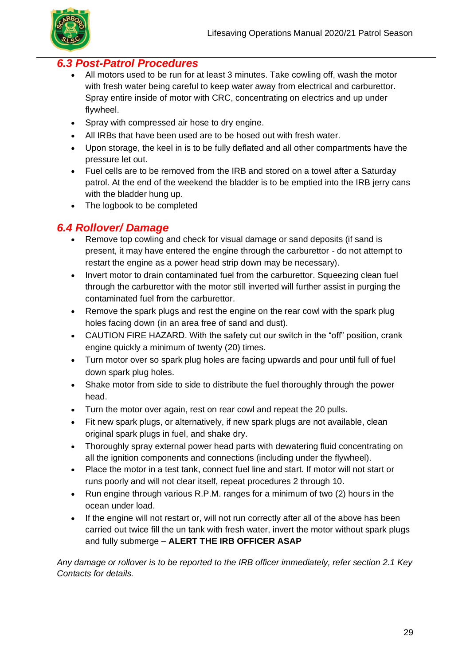

### *6.3 Post-Patrol Procedures*

- All motors used to be run for at least 3 minutes. Take cowling off, wash the motor with fresh water being careful to keep water away from electrical and carburettor. Spray entire inside of motor with CRC, concentrating on electrics and up under flywheel.
- Spray with compressed air hose to dry engine.
- All IRBs that have been used are to be hosed out with fresh water.
- Upon storage, the keel in is to be fully deflated and all other compartments have the pressure let out.
- Fuel cells are to be removed from the IRB and stored on a towel after a Saturday patrol. At the end of the weekend the bladder is to be emptied into the IRB jerry cans with the bladder hung up.
- The logbook to be completed

## *6.4 Rollover/ Damage*

- Remove top cowling and check for visual damage or sand deposits (if sand is present, it may have entered the engine through the carburettor - do not attempt to restart the engine as a power head strip down may be necessary).
- Invert motor to drain contaminated fuel from the carburettor. Squeezing clean fuel through the carburettor with the motor still inverted will further assist in purging the contaminated fuel from the carburettor.
- Remove the spark plugs and rest the engine on the rear cowl with the spark plug holes facing down (in an area free of sand and dust).
- CAUTION FIRE HAZARD. With the safety cut our switch in the "off" position, crank engine quickly a minimum of twenty (20) times.
- Turn motor over so spark plug holes are facing upwards and pour until full of fuel down spark plug holes.
- Shake motor from side to side to distribute the fuel thoroughly through the power head.
- Turn the motor over again, rest on rear cowl and repeat the 20 pulls.
- Fit new spark plugs, or alternatively, if new spark plugs are not available, clean original spark plugs in fuel, and shake dry.
- Thoroughly spray external power head parts with dewatering fluid concentrating on all the ignition components and connections (including under the flywheel).
- Place the motor in a test tank, connect fuel line and start. If motor will not start or runs poorly and will not clear itself, repeat procedures 2 through 10.
- Run engine through various R.P.M. ranges for a minimum of two (2) hours in the ocean under load.
- If the engine will not restart or, will not run correctly after all of the above has been carried out twice fill the un tank with fresh water, invert the motor without spark plugs and fully submerge – **ALERT THE IRB OFFICER ASAP**

*Any damage or rollover is to be reported to the IRB officer immediately, refer section 2.1 Key Contacts for details.*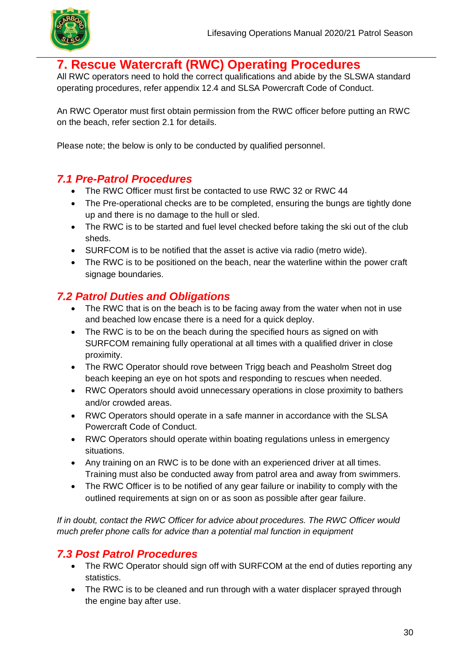

## **7. Rescue Watercraft (RWC) Operating Procedures**

All RWC operators need to hold the correct qualifications and abide by the SLSWA standard operating procedures, refer appendix 12.4 and SLSA Powercraft Code of Conduct.

An RWC Operator must first obtain permission from the RWC officer before putting an RWC on the beach, refer section 2.1 for details.

Please note; the below is only to be conducted by qualified personnel.

### *7.1 Pre-Patrol Procedures*

- The RWC Officer must first be contacted to use RWC 32 or RWC 44
- The Pre-operational checks are to be completed, ensuring the bungs are tightly done up and there is no damage to the hull or sled.
- The RWC is to be started and fuel level checked before taking the ski out of the club sheds.
- SURFCOM is to be notified that the asset is active via radio (metro wide).
- The RWC is to be positioned on the beach, near the waterline within the power craft signage boundaries.

## *7.2 Patrol Duties and Obligations*

- The RWC that is on the beach is to be facing away from the water when not in use and beached low encase there is a need for a quick deploy.
- The RWC is to be on the beach during the specified hours as signed on with SURFCOM remaining fully operational at all times with a qualified driver in close proximity.
- The RWC Operator should rove between Trigg beach and Peasholm Street dog beach keeping an eye on hot spots and responding to rescues when needed.
- RWC Operators should avoid unnecessary operations in close proximity to bathers and/or crowded areas.
- RWC Operators should operate in a safe manner in accordance with the SLSA Powercraft Code of Conduct.
- RWC Operators should operate within boating regulations unless in emergency situations.
- Any training on an RWC is to be done with an experienced driver at all times. Training must also be conducted away from patrol area and away from swimmers.
- The RWC Officer is to be notified of any gear failure or inability to comply with the outlined requirements at sign on or as soon as possible after gear failure.

*If in doubt, contact the RWC Officer for advice about procedures. The RWC Officer would much prefer phone calls for advice than a potential mal function in equipment*

### *7.3 Post Patrol Procedures*

- The RWC Operator should sign off with SURFCOM at the end of duties reporting any statistics.
- The RWC is to be cleaned and run through with a water displacer sprayed through the engine bay after use.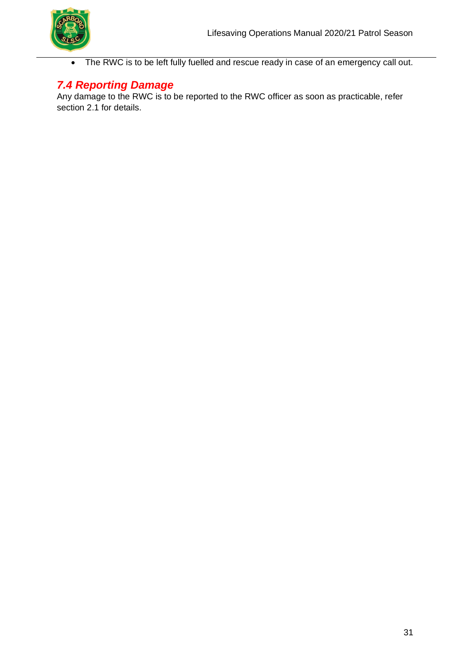

• The RWC is to be left fully fuelled and rescue ready in case of an emergency call out.

## *7.4 Reporting Damage*

Any damage to the RWC is to be reported to the RWC officer as soon as practicable, refer section 2.1 for details.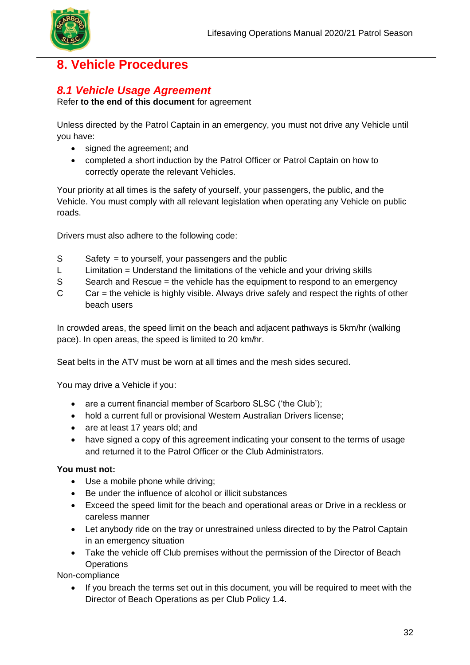

## **8. Vehicle Procedures**

## *8.1 Vehicle Usage Agreement*

Refer **to the end of this document** for agreement

Unless directed by the Patrol Captain in an emergency, you must not drive any Vehicle until you have:

- signed the agreement; and
- completed a short induction by the Patrol Officer or Patrol Captain on how to correctly operate the relevant Vehicles.

Your priority at all times is the safety of yourself, your passengers, the public, and the Vehicle. You must comply with all relevant legislation when operating any Vehicle on public roads.

Drivers must also adhere to the following code:

- S Safety = to yourself, your passengers and the public
- L Limitation = Understand the limitations of the vehicle and your driving skills
- S Search and Rescue = the vehicle has the equipment to respond to an emergency
- C Car = the vehicle is highly visible. Always drive safely and respect the rights of other beach users

In crowded areas, the speed limit on the beach and adjacent pathways is 5km/hr (walking pace). In open areas, the speed is limited to 20 km/hr.

Seat belts in the ATV must be worn at all times and the mesh sides secured.

You may drive a Vehicle if you:

- are a current financial member of Scarboro SLSC ('the Club');
- hold a current full or provisional Western Australian Drivers license;
- are at least 17 years old; and
- have signed a copy of this agreement indicating your consent to the terms of usage and returned it to the Patrol Officer or the Club Administrators.

#### **You must not:**

- Use a mobile phone while driving;
- Be under the influence of alcohol or illicit substances
- Exceed the speed limit for the beach and operational areas or Drive in a reckless or careless manner
- Let anybody ride on the tray or unrestrained unless directed to by the Patrol Captain in an emergency situation
- Take the vehicle off Club premises without the permission of the Director of Beach **Operations**

Non-compliance

If you breach the terms set out in this document, you will be required to meet with the Director of Beach Operations as per Club Policy 1.4.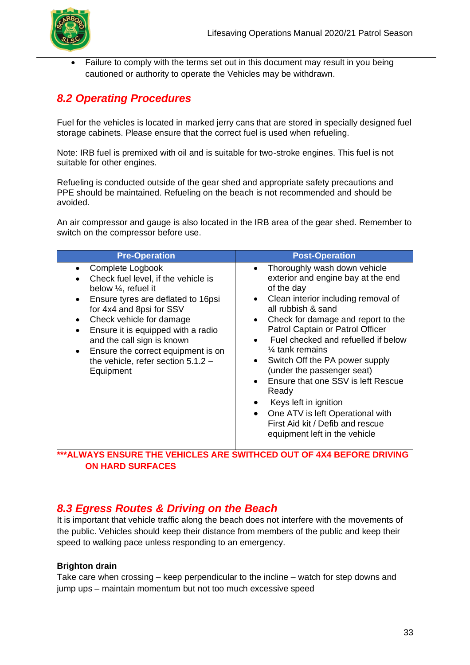

Failure to comply with the terms set out in this document may result in you being cautioned or authority to operate the Vehicles may be withdrawn.

## *8.2 Operating Procedures*

Fuel for the vehicles is located in marked jerry cans that are stored in specially designed fuel storage cabinets. Please ensure that the correct fuel is used when refueling.

Note: IRB fuel is premixed with oil and is suitable for two-stroke engines. This fuel is not suitable for other engines.

Refueling is conducted outside of the gear shed and appropriate safety precautions and PPE should be maintained. Refueling on the beach is not recommended and should be avoided.

An air compressor and gauge is also located in the IRB area of the gear shed. Remember to switch on the compressor before use.

| <b>Pre-Operation</b>                                                                                                                                                                                                                                                                                                                                    | <b>Post-Operation</b>                                                                                                                                                                                                                                                                                                                                                                                                                                                                                                                                                                                                       |  |
|---------------------------------------------------------------------------------------------------------------------------------------------------------------------------------------------------------------------------------------------------------------------------------------------------------------------------------------------------------|-----------------------------------------------------------------------------------------------------------------------------------------------------------------------------------------------------------------------------------------------------------------------------------------------------------------------------------------------------------------------------------------------------------------------------------------------------------------------------------------------------------------------------------------------------------------------------------------------------------------------------|--|
| Complete Logbook<br>Check fuel level, if the vehicle is<br>below $\frac{1}{4}$ , refuel it<br>Ensure tyres are deflated to 16psi<br>for 4x4 and 8psi for SSV<br>Check vehicle for damage<br>Ensure it is equipped with a radio<br>and the call sign is known<br>Ensure the correct equipment is on<br>the vehicle, refer section $5.1.2 -$<br>Equipment | Thoroughly wash down vehicle<br>$\bullet$<br>exterior and engine bay at the end<br>of the day<br>Clean interior including removal of<br>$\bullet$<br>all rubbish & sand<br>Check for damage and report to the<br>$\bullet$<br>Patrol Captain or Patrol Officer<br>Fuel checked and refuelled if below<br>$\bullet$<br>$\frac{1}{4}$ tank remains<br>Switch Off the PA power supply<br>$\bullet$<br>(under the passenger seat)<br>Ensure that one SSV is left Rescue<br>Ready<br>Keys left in ignition<br>One ATV is left Operational with<br>$\bullet$<br>First Aid kit / Defib and rescue<br>equipment left in the vehicle |  |

**\*\*\*ALWAYS ENSURE THE VEHICLES ARE SWITHCED OUT OF 4X4 BEFORE DRIVING ON HARD SURFACES** 

## *8.3 Egress Routes & Driving on the Beach*

It is important that vehicle traffic along the beach does not interfere with the movements of the public. Vehicles should keep their distance from members of the public and keep their speed to walking pace unless responding to an emergency.

#### **Brighton drain**

Take care when crossing – keep perpendicular to the incline – watch for step downs and jump ups – maintain momentum but not too much excessive speed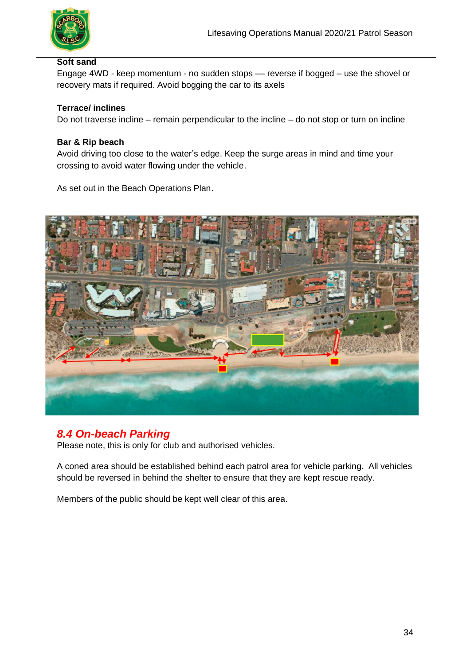

#### **Soft sand**

Engage 4WD - keep momentum - no sudden stops –– reverse if bogged – use the shovel or recovery mats if required. Avoid bogging the car to its axels

#### **Terrace/ inclines**

Do not traverse incline – remain perpendicular to the incline – do not stop or turn on incline

#### **Bar & Rip beach**

Avoid driving too close to the water's edge. Keep the surge areas in mind and time your crossing to avoid water flowing under the vehicle.

As set out in the Beach Operations Plan.



## *8.4 On-beach Parking*

Please note, this is only for club and authorised vehicles.

A coned area should be established behind each patrol area for vehicle parking. All vehicles should be reversed in behind the shelter to ensure that they are kept rescue ready.

Members of the public should be kept well clear of this area.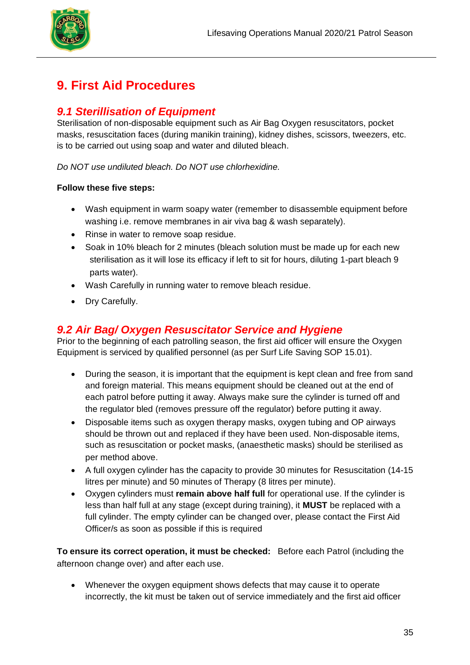

## **9. First Aid Procedures**

## *9.1 Sterillisation of Equipment*

Sterilisation of non-disposable equipment such as Air Bag Oxygen resuscitators, pocket masks, resuscitation faces (during manikin training), kidney dishes, scissors, tweezers, etc. is to be carried out using soap and water and diluted bleach.

*Do NOT use undiluted bleach. Do NOT use chlorhexidine.* 

#### **Follow these five steps:**

- Wash equipment in warm soapy water (remember to disassemble equipment before washing i.e. remove membranes in air viva bag & wash separately).
- Rinse in water to remove soap residue.
- Soak in 10% bleach for 2 minutes (bleach solution must be made up for each new sterilisation as it will lose its efficacy if left to sit for hours, diluting 1-part bleach 9 parts water).
- Wash Carefully in running water to remove bleach residue.
- Dry Carefully.

### *9.2 Air Bag/ Oxygen Resuscitator Service and Hygiene*

Prior to the beginning of each patrolling season, the first aid officer will ensure the Oxygen Equipment is serviced by qualified personnel (as per Surf Life Saving SOP 15.01).

- During the season, it is important that the equipment is kept clean and free from sand and foreign material. This means equipment should be cleaned out at the end of each patrol before putting it away. Always make sure the cylinder is turned off and the regulator bled (removes pressure off the regulator) before putting it away.
- Disposable items such as oxygen therapy masks, oxygen tubing and OP airways should be thrown out and replaced if they have been used. Non-disposable items, such as resuscitation or pocket masks, (anaesthetic masks) should be sterilised as per method above.
- A full oxygen cylinder has the capacity to provide 30 minutes for Resuscitation (14-15 litres per minute) and 50 minutes of Therapy (8 litres per minute).
- Oxygen cylinders must **remain above half full** for operational use. If the cylinder is less than half full at any stage (except during training), it **MUST** be replaced with a full cylinder. The empty cylinder can be changed over, please contact the First Aid Officer/s as soon as possible if this is required

**To ensure its correct operation, it must be checked:** Before each Patrol (including the afternoon change over) and after each use.

• Whenever the oxygen equipment shows defects that may cause it to operate incorrectly, the kit must be taken out of service immediately and the first aid officer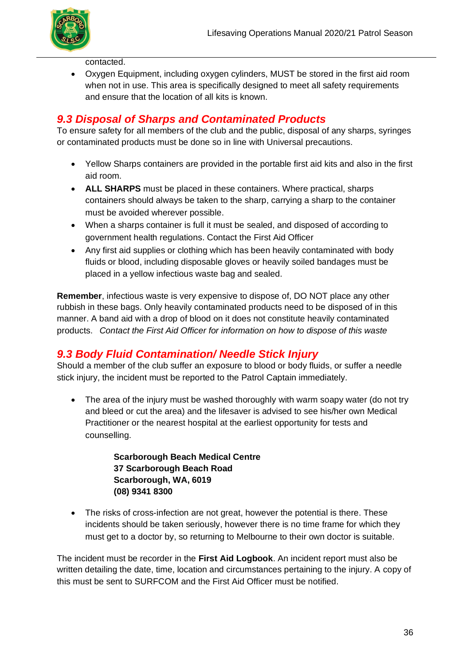

contacted.

• Oxygen Equipment, including oxygen cylinders, MUST be stored in the first aid room when not in use. This area is specifically designed to meet all safety requirements and ensure that the location of all kits is known.

## *9.3 Disposal of Sharps and Contaminated Products*

To ensure safety for all members of the club and the public, disposal of any sharps, syringes or contaminated products must be done so in line with Universal precautions.

- Yellow Sharps containers are provided in the portable first aid kits and also in the first aid room.
- **ALL SHARPS** must be placed in these containers. Where practical, sharps containers should always be taken to the sharp, carrying a sharp to the container must be avoided wherever possible.
- When a sharps container is full it must be sealed, and disposed of according to government health regulations. Contact the First Aid Officer
- Any first aid supplies or clothing which has been heavily contaminated with body fluids or blood, including disposable gloves or heavily soiled bandages must be placed in a yellow infectious waste bag and sealed.

**Remember**, infectious waste is very expensive to dispose of, DO NOT place any other rubbish in these bags. Only heavily contaminated products need to be disposed of in this manner. A band aid with a drop of blood on it does not constitute heavily contaminated products. *Contact the First Aid Officer for information on how to dispose of this waste* 

## *9.3 Body Fluid Contamination/ Needle Stick Injury*

Should a member of the club suffer an exposure to blood or body fluids, or suffer a needle stick injury, the incident must be reported to the Patrol Captain immediately.

• The area of the injury must be washed thoroughly with warm soapy water (do not try and bleed or cut the area) and the lifesaver is advised to see his/her own Medical Practitioner or the nearest hospital at the earliest opportunity for tests and counselling.

> **Scarborough Beach Medical Centre 37 Scarborough Beach Road Scarborough, WA, 6019 (08) 9341 8300**

• The risks of cross-infection are not great, however the potential is there. These incidents should be taken seriously, however there is no time frame for which they must get to a doctor by, so returning to Melbourne to their own doctor is suitable.

The incident must be recorder in the **First Aid Logbook**. An incident report must also be written detailing the date, time, location and circumstances pertaining to the injury. A copy of this must be sent to SURFCOM and the First Aid Officer must be notified.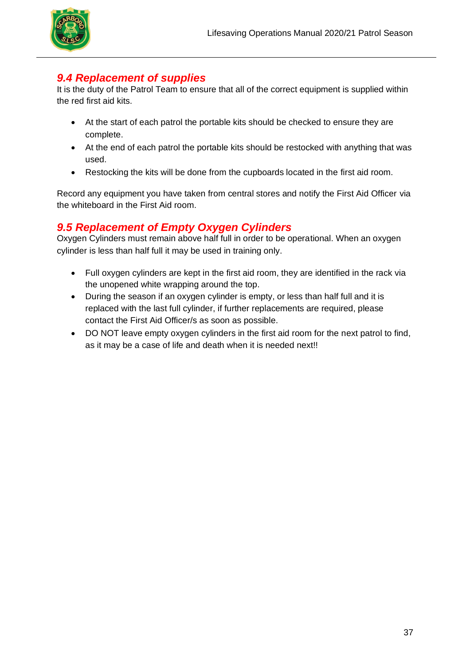

## *9.4 Replacement of supplies*

It is the duty of the Patrol Team to ensure that all of the correct equipment is supplied within the red first aid kits.

- At the start of each patrol the portable kits should be checked to ensure they are complete.
- At the end of each patrol the portable kits should be restocked with anything that was used.
- Restocking the kits will be done from the cupboards located in the first aid room.

Record any equipment you have taken from central stores and notify the First Aid Officer via the whiteboard in the First Aid room.

## *9.5 Replacement of Empty Oxygen Cylinders*

Oxygen Cylinders must remain above half full in order to be operational. When an oxygen cylinder is less than half full it may be used in training only.

- Full oxygen cylinders are kept in the first aid room, they are identified in the rack via the unopened white wrapping around the top.
- During the season if an oxygen cylinder is empty, or less than half full and it is replaced with the last full cylinder, if further replacements are required, please contact the First Aid Officer/s as soon as possible.
- DO NOT leave empty oxygen cylinders in the first aid room for the next patrol to find, as it may be a case of life and death when it is needed next!!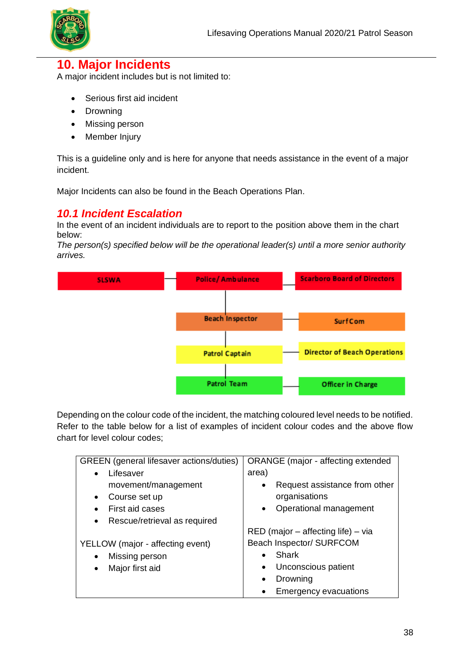

## **10. Major Incidents**

A major incident includes but is not limited to:

- Serious first aid incident
- Drowning
- Missing person
- Member Injury

This is a guideline only and is here for anyone that needs assistance in the event of a major incident.

Major Incidents can also be found in the Beach Operations Plan.

### *10.1 Incident Escalation*

In the event of an incident individuals are to report to the position above them in the chart below:

*The person(s) specified below will be the operational leader(s) until a more senior authority arrives.*



Depending on the colour code of the incident, the matching coloured level needs to be notified. Refer to the table below for a list of examples of incident colour codes and the above flow chart for level colour codes;

| GREEN (general lifesaver actions/duties)  | ORANGE (major - affecting extended   |
|-------------------------------------------|--------------------------------------|
| Lifesaver                                 | area)                                |
| movement/management                       | Request assistance from other        |
| Course set up<br>$\bullet$                | organisations                        |
| First aid cases<br>$\bullet$              | Operational management<br>$\bullet$  |
| Rescue/retrieval as required<br>$\bullet$ |                                      |
|                                           | $RED$ (major – affecting life) – via |
| YELLOW (major - affecting event)          | Beach Inspector/ SURFCOM             |
| Missing person<br>$\bullet$               | Shark                                |
| Major first aid<br>$\bullet$              | Unconscious patient<br>$\bullet$     |
|                                           | Drowning                             |
|                                           | <b>Emergency evacuations</b>         |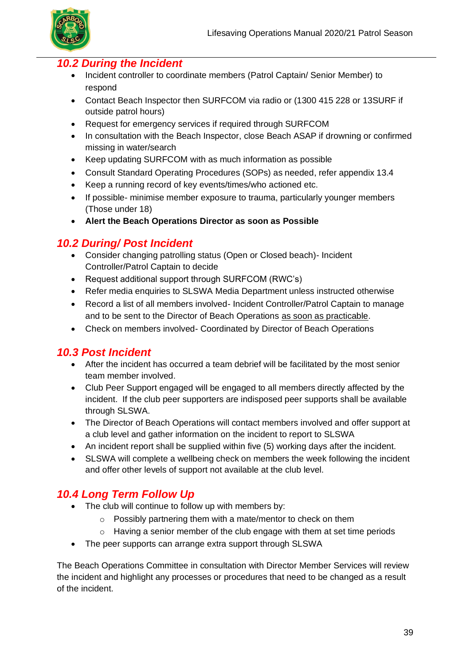

### *10.2 During the Incident*

- Incident controller to coordinate members (Patrol Captain/ Senior Member) to respond
- Contact Beach Inspector then SURFCOM via radio or (1300 415 228 or 13SURF if outside patrol hours)
- Request for emergency services if required through SURFCOM
- In consultation with the Beach Inspector, close Beach ASAP if drowning or confirmed missing in water/search
- Keep updating SURFCOM with as much information as possible
- Consult Standard Operating Procedures (SOPs) as needed, refer appendix 13.4
- Keep a running record of key events/times/who actioned etc.
- If possible- minimise member exposure to trauma, particularly younger members (Those under 18)
- **Alert the Beach Operations Director as soon as Possible**

## *10.2 During/ Post Incident*

- Consider changing patrolling status (Open or Closed beach)- Incident Controller/Patrol Captain to decide
- Request additional support through SURFCOM (RWC's)
- Refer media enquiries to SLSWA Media Department unless instructed otherwise
- Record a list of all members involved- Incident Controller/Patrol Captain to manage and to be sent to the Director of Beach Operations as soon as practicable.
- Check on members involved- Coordinated by Director of Beach Operations

## *10.3 Post Incident*

- After the incident has occurred a team debrief will be facilitated by the most senior team member involved.
- Club Peer Support engaged will be engaged to all members directly affected by the incident. If the club peer supporters are indisposed peer supports shall be available through SLSWA.
- The Director of Beach Operations will contact members involved and offer support at a club level and gather information on the incident to report to SLSWA
- An incident report shall be supplied within five (5) working days after the incident.
- SLSWA will complete a wellbeing check on members the week following the incident and offer other levels of support not available at the club level.

## *10.4 Long Term Follow Up*

- The club will continue to follow up with members by:
	- o Possibly partnering them with a mate/mentor to check on them
	- $\circ$  Having a senior member of the club engage with them at set time periods
- The peer supports can arrange extra support through SLSWA

The Beach Operations Committee in consultation with Director Member Services will review the incident and highlight any processes or procedures that need to be changed as a result of the incident.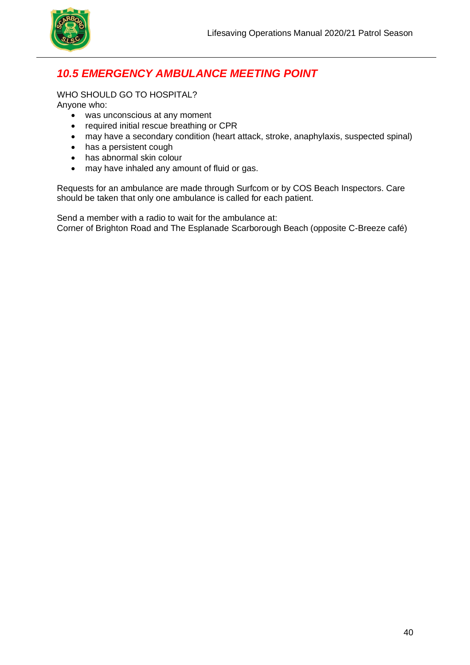

## *10.5 EMERGENCY AMBULANCE MEETING POINT*

WHO SHOULD GO TO HOSPITAL?

Anyone who:

- was unconscious at any moment
- required initial rescue breathing or CPR
- may have a secondary condition (heart attack, stroke, anaphylaxis, suspected spinal)
- has a persistent cough
- has abnormal skin colour
- may have inhaled any amount of fluid or gas.

Requests for an ambulance are made through Surfcom or by COS Beach Inspectors. Care should be taken that only one ambulance is called for each patient.

Send a member with a radio to wait for the ambulance at: Corner of Brighton Road and The Esplanade Scarborough Beach (opposite C-Breeze café)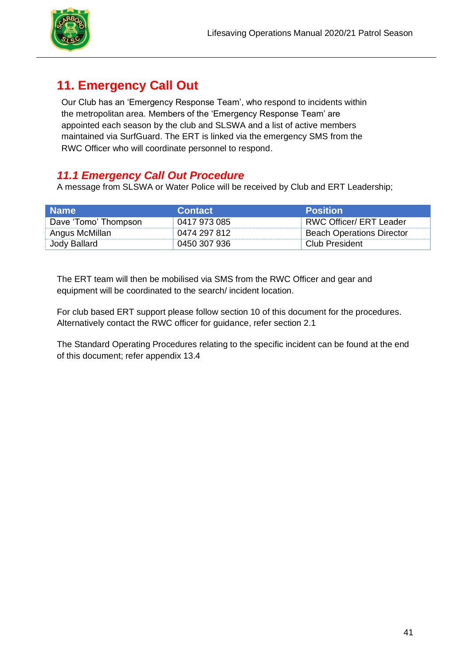

## **11. Emergency Call Out**

Our Club has an 'Emergency Response Team', who respond to incidents within the metropolitan area. Members of the 'Emergency Response Team' are appointed each season by the club and SLSWA and a list of active members maintained via SurfGuard. The ERT is linked via the emergency SMS from the RWC Officer who will coordinate personnel to respond.

## *11.1 Emergency Call Out Procedure*

A message from SLSWA or Water Police will be received by Club and ERT Leadership;

| ∣ Name∶              | <b>Contact</b> | <b>Position</b>                  |
|----------------------|----------------|----------------------------------|
| Dave 'Tomo' Thompson | 0417 973 085   | RWC Officer/ ERT Leader          |
| Angus McMillan       | 0474 297 812   | <b>Beach Operations Director</b> |
| Jody Ballard         | 0450 307 936   | Club President                   |

The ERT team will then be mobilised via SMS from the RWC Officer and gear and equipment will be coordinated to the search/ incident location.

For club based ERT support please follow section 10 of this document for the procedures. Alternatively contact the RWC officer for guidance, refer section 2.1

The Standard Operating Procedures relating to the specific incident can be found at the end of this document; refer appendix 13.4